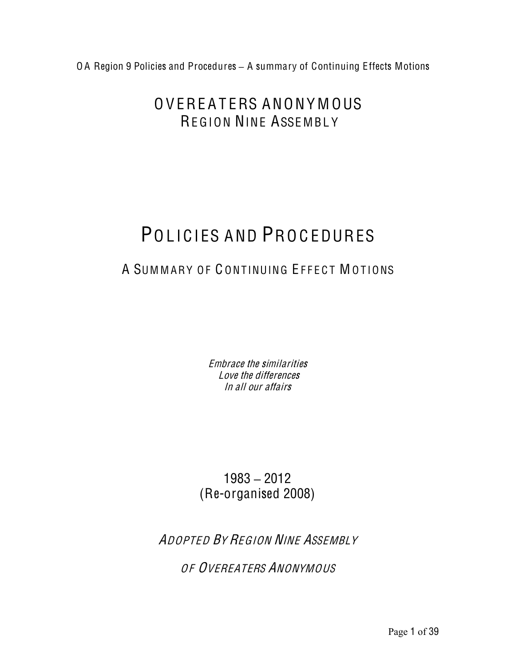# OVEREATERS ANONY MOUS REGION NINE ASSEMBLY

# POLICIES AND PROCEDURES

# A SUMMARY OF CONTINUING EFFECT MOTIONS

Embrace the similarities Love the differences In all our affairs

1983 **–** 2012 (Re-organised 2008)

ADOPTED BY REGION NINE ASSEMBLY

OF OVEREATERS ANONYMOUS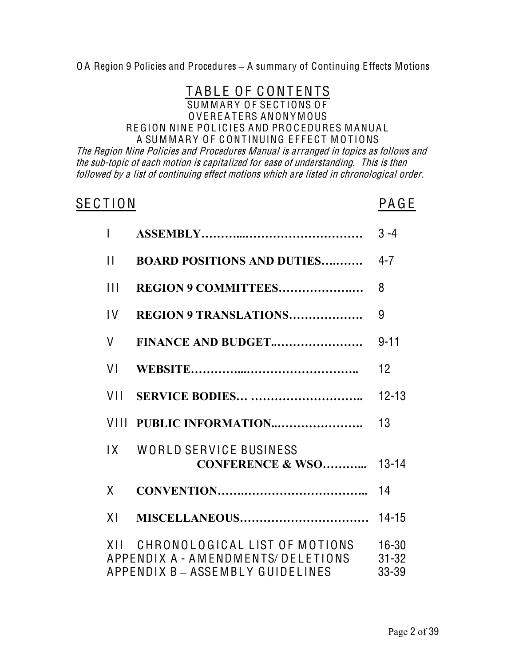# TABLE OF CONTENTS

#### SUMMARY OF SECTIONS OF O V ERE A T ERS ANONY M OUS REGION NINE POLICIES AND PROCEDURES MANUAL A SUMMARY OF CONTINUING EFFECT MOTIONS

Th<sup>e</sup> Region Nin<sup>e</sup> Policie<sup>s</sup> and Procedure<sup>s</sup> Manual i<sup>s</sup> arranged in topic<sup>s</sup> <sup>a</sup><sup>s</sup> follow<sup>s</sup> and th<sup>e</sup> <sup>s</sup>ub-topi<sup>c</sup> <sup>o</sup>f <sup>e</sup>ach <sup>m</sup>otion i<sup>s</sup> <sup>c</sup>apitalized for <sup>e</sup>as<sup>e</sup> <sup>o</sup>f understanding. Thi<sup>s</sup> i<sup>s</sup> the<sup>n</sup> followed by <sup>a</sup> list <sup>o</sup>f <sup>c</sup>ontinuing <sup>e</sup>ffect <sup>m</sup>otion<sup>s</sup> which ar<sup>e</sup> listed in <sup>c</sup>hronological order.

# SECTION PAGE

| $\overline{1}$ |                                                                                                            | $3 - 4$                         |
|----------------|------------------------------------------------------------------------------------------------------------|---------------------------------|
| $\mathbf{H}$   | <b>BOARD POSITIONS AND DUTIES</b>                                                                          | $4 - 7$                         |
| $\mathbf{H}$   | REGION 9 COMMITTEES                                                                                        | 8                               |
| $\mathsf{IV}$  | <b>REGION 9 TRANSLATIONS</b>                                                                               | 9                               |
| $\vee$         | FINANCE AND BUDGET                                                                                         | $9 - 11$                        |
| VI             |                                                                                                            | 12                              |
| VII            | <b>SERVICE BODIES </b>                                                                                     | $12 - 13$                       |
|                | VIII PUBLIC INFORMATION                                                                                    | 13 <sup>°</sup>                 |
|                | IX WORLD SERVICE BUSINESS<br><b>CONFERENCE &amp; WSO</b>                                                   | $13 - 14$                       |
| X              |                                                                                                            | 14                              |
| X <sub>1</sub> |                                                                                                            | $14 - 15$                       |
|                | XII CHRONOLOGICAL LIST OF MOTIONS<br>APPENDIX A - AMENDMENTS/DELETIONS<br>APPENDIX B - ASSEMBLY GUIDELINES | $16 - 30$<br>$31 - 32$<br>33-39 |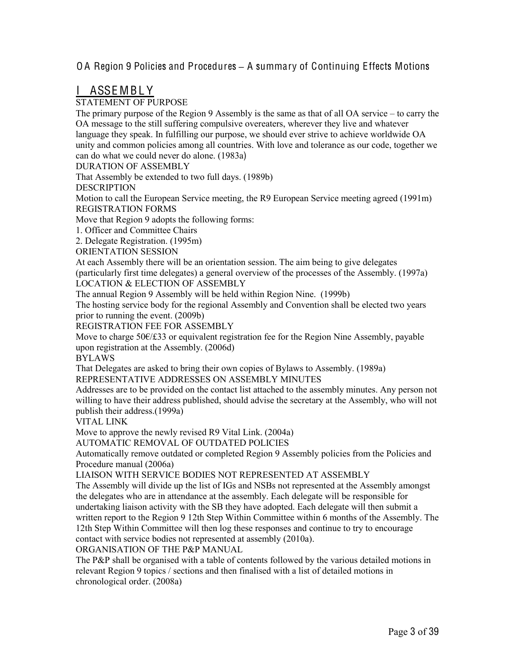### **ASSEMBLY**

#### STATEMENT OF PURPOSE

The primary purpose of the Region 9 Assembly is the same as that of all OA service – to carry the OA message to the still suffering compulsive overeaters, wherever they live and whatever language they speak. In fulfilling our purpose, we should ever strive to achieve worldwide OA unity and common policies among all countries. With love and tolerance as our code, together we can do what we could never do alone. (1983a)

#### DURATION OF ASSEMBLY

That Assembly be extended to two full days. (1989b)

DESCRIPTION

Motion to call the European Service meeting, the R9 European Service meeting agreed (1991m) REGISTRATION FORMS

Move that Region 9 adopts the following forms:

1. Officer and Committee Chairs

2. Delegate Registration. (1995m)

ORIENTATION SESSION

At each Assembly there will be an orientation session. The aim being to give delegates (particularly first time delegates) a general overview of the processes of the Assembly. (1997a)

LOCATION & ELECTION OF ASSEMBLY

The annual Region 9 Assembly will be held within Region Nine. (1999b)

The hosting service body for the regional Assembly and Convention shall be elected two years prior to running the event. (2009b)

REGISTRATION FEE FOR ASSEMBLY

Move to charge 50€/£33 or equivalent registration fee for the Region Nine Assembly, payable upon registration at the Assembly. (2006d)

BYLAWS

That Delegates are asked to bring their own copies of Bylaws to Assembly. (1989a)

REPRESENTATIVE ADDRESSES ON ASSEMBLY MINUTES

Addresses are to be provided on the contact list attached to the assembly minutes. Any person not willing to have their address published, should advise the secretary at the Assembly, who will not publish their address.(1999a)

VITAL LINK

Move to approve the newly revised R9 Vital Link. (2004a)

AUTOMATIC REMOVAL OF OUTDATED POLICIES

Automatically remove outdated or completed Region 9 Assembly policies from the Policies and Procedure manual (2006a)

LIAISON WITH SERVICE BODIES NOT REPRESENTED AT ASSEMBLY

The Assembly will divide up the list of IGs and NSBs not represented at the Assembly amongst the delegates who are in attendance at the assembly. Each delegate will be responsible for undertaking liaison activity with the SB they have adopted. Each delegate will then submit a written report to the Region 9 12th Step Within Committee within 6 months of the Assembly. The 12th Step Within Committee will then log these responses and continue to try to encourage contact with service bodies not represented at assembly (2010a).

ORGANISATION OF THE P&P MANUAL

The P&P shall be organised with a table of contents followed by the various detailed motions in relevant Region 9 topics / sections and then finalised with a list of detailed motions in chronological order. (2008a)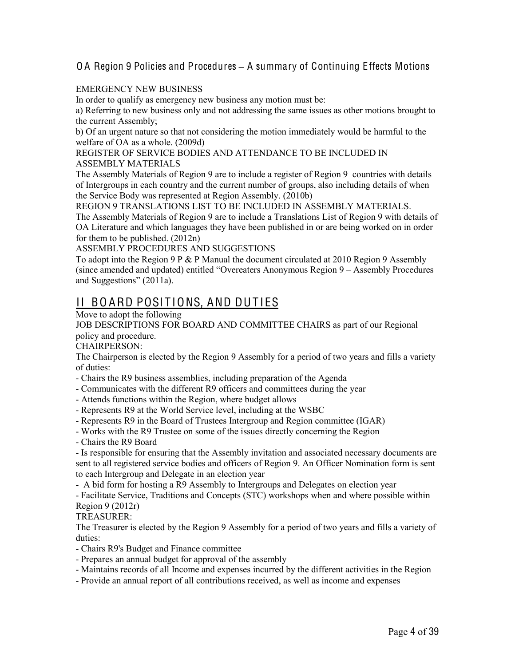#### EMERGENCY NEW BUSINESS

In order to qualify as emergency new business any motion must be:

a) Referring to new business only and not addressing the same issues as other motions brought to the current Assembly;

b) Of an urgent nature so that not considering the motion immediately would be harmful to the welfare of OA as a whole. (2009d)

#### REGISTER OF SERVICE BODIES AND ATTENDANCE TO BE INCLUDED IN ASSEMBLY MATERIALS

The Assembly Materials of Region 9 are to include a register of Region 9 countries with details of Intergroups in each country and the current number of groups, also including details of when the Service Body was represented at Region Assembly. (2010b)

REGION 9 TRANSLATIONS LIST TO BE INCLUDED IN ASSEMBLY MATERIALS. The Assembly Materials of Region 9 are to include a Translations List of Region 9 with details of OA Literature and which languages they have been published in or are being worked on in order for them to be published. (2012n)

ASSEMBLY PROCEDURES AND SUGGESTIONS

To adopt into the Region 9 P  $&$  P Manual the document circulated at 2010 Region 9 Assembly (since amended and updated) entitled "Overeaters Anonymous Region 9 – Assembly Procedures and Suggestions" (2011a).

# II BOARD POSITIONS, AND DUTIES

Move to adopt the following

JOB DESCRIPTIONS FOR BOARD AND COMMITTEE CHAIRS as part of our Regional policy and procedure.

CHAIRPERSON:

The Chairperson is elected by the Region 9 Assembly for a period of two years and fills a variety of duties:

- Chairs the R9 business assemblies, including preparation of the Agenda
- Communicates with the different R9 officers and committees during the year
- Attends functions within the Region, where budget allows
- Represents R9 at the World Service level, including at the WSBC
- Represents R9 in the Board of Trustees Intergroup and Region committee (IGAR)
- Works with the R9 Trustee on some of the issues directly concerning the Region
- Chairs the R9 Board

- Is responsible for ensuring that the Assembly invitation and associated necessary documents are sent to all registered service bodies and officers of Region 9. An Officer Nomination form is sent to each Intergroup and Delegate in an election year

- A bid form for hosting a R9 Assembly to Intergroups and Delegates on election year

- Facilitate Service, Traditions and Concepts (STC) workshops when and where possible within Region 9 (2012r)

TREASURER:

The Treasurer is elected by the Region 9 Assembly for a period of two years and fills a variety of duties:

- Chairs R9's Budget and Finance committee
- Prepares an annual budget for approval of the assembly
- Maintains records of all Income and expenses incurred by the different activities in the Region
- Provide an annual report of all contributions received, as well as income and expenses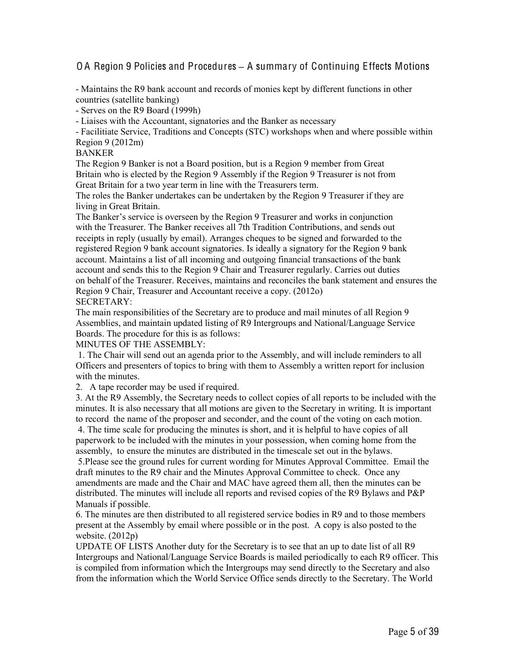- Maintains the R9 bank account and records of monies kept by different functions in other countries (satellite banking)

- Serves on the R9 Board (1999h)

- Liaises with the Accountant, signatories and the Banker as necessary

- Facilitiate Service, Traditions and Concepts (STC) workshops when and where possible within Region 9 (2012m)

#### BANKER

The Region 9 Banker is not a Board position, but is a Region 9 member from Great Britain who is elected by the Region 9 Assembly if the Region 9 Treasurer is not from Great Britain for a two year term in line with the Treasurers term.

The roles the Banker undertakes can be undertaken by the Region 9 Treasurer if they are living in Great Britain.

The Banker's service is overseen by the Region 9 Treasurer and works in conjunction with the Treasurer. The Banker receives all 7th Tradition Contributions, and sends out receipts in reply (usually by email). Arranges cheques to be signed and forwarded to the registered Region 9 bank account signatories. Is ideally a signatory for the Region 9 bank account. Maintains a list of all incoming and outgoing financial transactions of the bank account and sends this to the Region 9 Chair and Treasurer regularly. Carries out duties on behalf of the Treasurer. Receives, maintains and reconciles the bank statement and ensures the Region 9 Chair, Treasurer and Accountant receive a copy. (2012o) SECRETARY:

The main responsibilities of the Secretary are to produce and mail minutes of all Region 9 Assemblies, and maintain updated listing of R9 Intergroups and National/Language Service Boards. The procedure for this is as follows:

MINUTES OF THE ASSEMBLY:

1. The Chair will send out an agenda prior to the Assembly, and will include reminders to all Officers and presenters of topics to bring with them to Assembly a written report for inclusion with the minutes.

2. A tape recorder may be used if required.

3. At the R9 Assembly, the Secretary needs to collect copies of all reports to be included with the minutes. It is also necessary that all motions are given to the Secretary in writing. It is important to record the name of the proposer and seconder, and the count of the voting on each motion.

4. The time scale for producing the minutes is short, and it is helpful to have copies of all paperwork to be included with the minutes in your possession, when coming home from the assembly, to ensure the minutes are distributed in the timescale set out in the bylaws.

5.Please see the ground rules for current wording for Minutes Approval Committee. Email the draft minutes to the R9 chair and the Minutes Approval Committee to check. Once any amendments are made and the Chair and MAC have agreed them all, then the minutes can be distributed. The minutes will include all reports and revised copies of the R9 Bylaws and P&P Manuals if possible.

6. The minutes are then distributed to all registered service bodies in R9 and to those members present at the Assembly by email where possible or in the post. A copy is also posted to the website. (2012p)

UPDATE OF LISTS Another duty for the Secretary is to see that an up to date list of all R9 Intergroups and National/Language Service Boards is mailed periodically to each R9 officer. This is compiled from information which the Intergroups may send directly to the Secretary and also from the information which the World Service Office sends directly to the Secretary. The World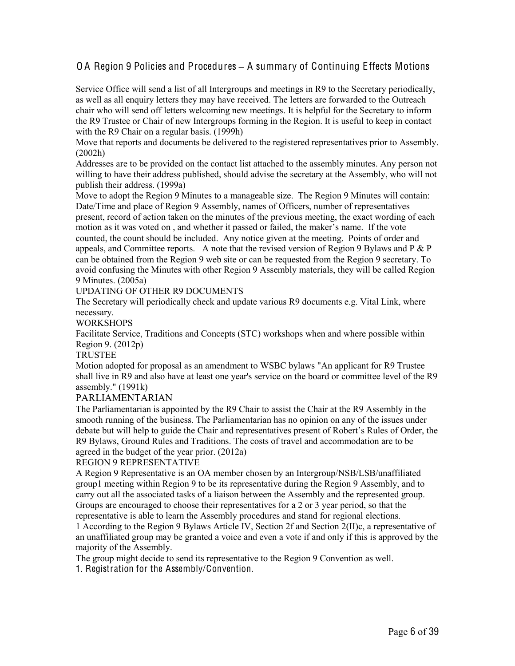Service Office will send a list of all Intergroups and meetings in R9 to the Secretary periodically, as well as all enquiry letters they may have received. The letters are forwarded to the Outreach chair who will send off letters welcoming new meetings. It is helpful for the Secretary to inform the R9 Trustee or Chair of new Intergroups forming in the Region. It is useful to keep in contact with the R9 Chair on a regular basis. (1999h)

Move that reports and documents be delivered to the registered representatives prior to Assembly. (2002h)

Addresses are to be provided on the contact list attached to the assembly minutes. Any person not willing to have their address published, should advise the secretary at the Assembly, who will not publish their address. (1999a)

Move to adopt the Region 9 Minutes to a manageable size. The Region 9 Minutes will contain: Date/Time and place of Region 9 Assembly, names of Officers, number of representatives present, record of action taken on the minutes of the previous meeting, the exact wording of each motion as it was voted on , and whether it passed or failed, the maker's name. If the vote counted, the count should be included. Any notice given at the meeting. Points of order and appeals, and Committee reports. A note that the revised version of Region 9 Bylaws and P & P can be obtained from the Region 9 web site or can be requested from the Region 9 secretary. To avoid confusing the Minutes with other Region 9 Assembly materials, they will be called Region 9 Minutes. (2005a)

#### UPDATING OF OTHER R9 DOCUMENTS

The Secretary will periodically check and update various R9 documents e.g. Vital Link, where necessary.

#### **WORKSHOPS**

Facilitate Service, Traditions and Concepts (STC) workshops when and where possible within Region 9. (2012p)

#### TRUSTEE

Motion adopted for proposal as an amendment to WSBC bylaws "An applicant for R9 Trustee shall live in R9 and also have at least one year's service on the board or committee level of the R9 assembly." (1991k)

#### PARLIAMENTARIAN

The Parliamentarian is appointed by the R9 Chair to assist the Chair at the R9 Assembly in the smooth running of the business. The Parliamentarian has no opinion on any of the issues under debate but will help to guide the Chair and representatives present of Robert's Rules of Order, the R9 Bylaws, Ground Rules and Traditions. The costs of travel and accommodation are to be agreed in the budget of the year prior. (2012a)

#### REGION 9 REPRESENTATIVE

A Region 9 Representative is an OA member chosen by an Intergroup/NSB/LSB/unaffiliated group1 meeting within Region 9 to be its representative during the Region 9 Assembly, and to carry out all the associated tasks of a liaison between the Assembly and the represented group. Groups are encouraged to choose their representatives for a 2 or 3 year period, so that the representative is able to learn the Assembly procedures and stand for regional elections.

1 According to the Region 9 Bylaws Article IV, Section 2f and Section 2(II)c, a representative of an unaffiliated group may be granted a voice and even a vote if and only if this is approved by the majority of the Assembly.

The group might decide to send its representative to the Region 9 Convention as well.

1. Registration for the Assembly/Convention.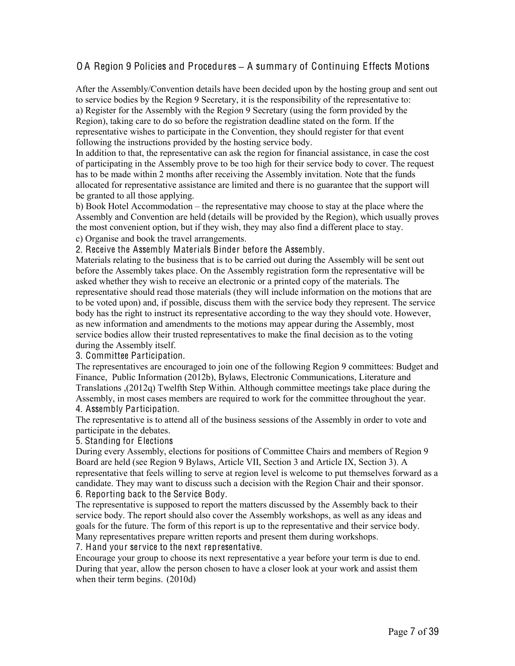After the Assembly/Convention details have been decided upon by the hosting group and sent out to service bodies by the Region 9 Secretary, it is the responsibility of the representative to: a) Register for the Assembly with the Region 9 Secretary (using the form provided by the Region), taking care to do so before the registration deadline stated on the form. If the representative wishes to participate in the Convention, they should register for that event following the instructions provided by the hosting service body.

In addition to that, the representative can ask the region for financial assistance, in case the cost of participating in the Assembly prove to be too high for their service body to cover. The request has to be made within 2 months after receiving the Assembly invitation. Note that the funds allocated for representative assistance are limited and there is no guarantee that the support will be granted to all those applying.

b) Book Hotel Accommodation – the representative may choose to stay at the place where the Assembly and Convention are held (details will be provided by the Region), which usually proves the most convenient option, but if they wish, they may also find a different place to stay.

c) Organise and book the travel arrangements.

2. Receive the Assembly Materials Binder before the Assembly.

Materials relating to the business that is to be carried out during the Assembly will be sent out before the Assembly takes place. On the Assembly registration form the representative will be asked whether they wish to receive an electronic or a printed copy of the materials. The representative should read those materials (they will include information on the motions that are to be voted upon) and, if possible, discuss them with the service body they represent. The service body has the right to instruct its representative according to the way they should vote. However, as new information and amendments to the motions may appear during the Assembly, most service bodies allow their trusted representatives to make the final decision as to the voting during the Assembly itself.

3. Committee Participation.

The representatives are encouraged to join one of the following Region 9 committees: Budget and Finance, Public Information (2012b), Bylaws, Electronic Communications, Literature and Translations ,(2012q) Twelfth Step Within. Although committee meetings take place during the Assembly, in most cases members are required to work for the committee throughout the year. 4. Assembly Participation.

The representative is to attend all of the business sessions of the Assembly in order to vote and participate in the debates.

5. Standing for Elections

During every Assembly, elections for positions of Committee Chairs and members of Region 9 Board are held (see Region 9 Bylaws, Article VII, Section 3 and Article IX, Section 3). A representative that feels willing to serve at region level is welcome to put themselves forward as a candidate. They may want to discuss such a decision with the Region Chair and their sponsor. 6. Reporting back to the Service Body.

The representative is supposed to report the matters discussed by the Assembly back to their service body. The report should also cover the Assembly workshops, as well as any ideas and goals for the future. The form of this report is up to the representative and their service body. Many representatives prepare written reports and present them during workshops.

7. Hand your service to the next representative.

Encourage your group to choose its next representative a year before your term is due to end. During that year, allow the person chosen to have a closer look at your work and assist them when their term begins. (2010d)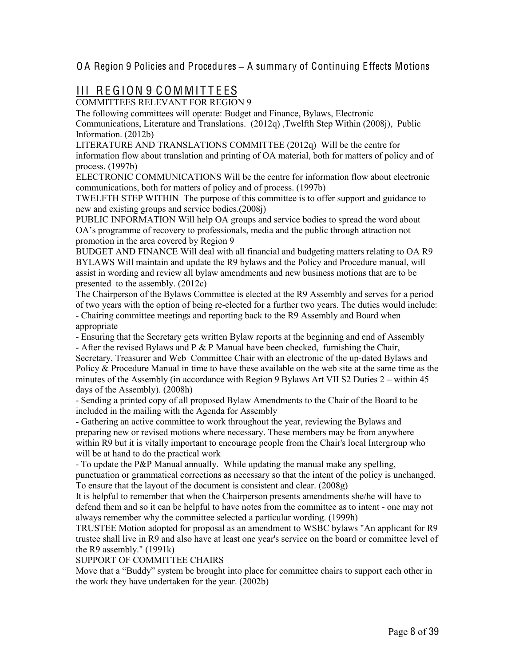# III REGION 9 COMMITTEES

COMMITTEES RELEVANT FOR REGION 9

The following committees will operate: Budget and Finance, Bylaws, Electronic Communications, Literature and Translations. (2012q) ,Twelfth Step Within (2008j), Public Information. (2012b)

LITERATURE AND TRANSLATIONS COMMITTEE (2012q) Will be the centre for information flow about translation and printing of OA material, both for matters of policy and of process. (1997b)

ELECTRONIC COMMUNICATIONS Will be the centre for information flow about electronic communications, both for matters of policy and of process. (1997b)

TWELFTH STEP WITHIN The purpose of this committee is to offer support and guidance to new and existing groups and service bodies.(2008j)

PUBLIC INFORMATION Will help OA groups and service bodies to spread the word about OA's programme of recovery to professionals, media and the public through attraction not promotion in the area covered by Region 9

BUDGET AND FINANCE Will deal with all financial and budgeting matters relating to OA R9 BYLAWS Will maintain and update the R9 bylaws and the Policy and Procedure manual, will assist in wording and review all bylaw amendments and new business motions that are to be presented to the assembly. (2012c)

The Chairperson of the Bylaws Committee is elected at the R9 Assembly and serves for a period of two years with the option of being re-elected for a further two years. The duties would include: - Chairing committee meetings and reporting back to the R9 Assembly and Board when appropriate

- Ensuring that the Secretary gets written Bylaw reports at the beginning and end of Assembly - After the revised Bylaws and P & P Manual have been checked, furnishing the Chair, Secretary, Treasurer and Web Committee Chair with an electronic of the up-dated Bylaws and Policy & Procedure Manual in time to have these available on the web site at the same time as the minutes of the Assembly (in accordance with Region 9 Bylaws Art VII S2 Duties 2 – within 45 days of the Assembly). (2008h)

- Sending a printed copy of all proposed Bylaw Amendments to the Chair of the Board to be included in the mailing with the Agenda for Assembly

- Gathering an active committee to work throughout the year, reviewing the Bylaws and preparing new or revised motions where necessary. These members may be from anywhere within R9 but it is vitally important to encourage people from the Chair's local Intergroup who will be at hand to do the practical work

- To update the P&P Manual annually. While updating the manual make any spelling, punctuation or grammatical corrections as necessary so that the intent of the policy is unchanged. To ensure that the layout of the document is consistent and clear. (2008g)

It is helpful to remember that when the Chairperson presents amendments she/he will have to defend them and so it can be helpful to have notes from the committee as to intent - one may not always remember why the committee selected a particular wording. (1999h)

TRUSTEE Motion adopted for proposal as an amendment to WSBC bylaws "An applicant for R9 trustee shall live in R9 and also have at least one year's service on the board or committee level of the R9 assembly." (1991k)

#### SUPPORT OF COMMITTEE CHAIRS

Move that a "Buddy" system be brought into place for committee chairs to support each other in the work they have undertaken for the year. (2002b)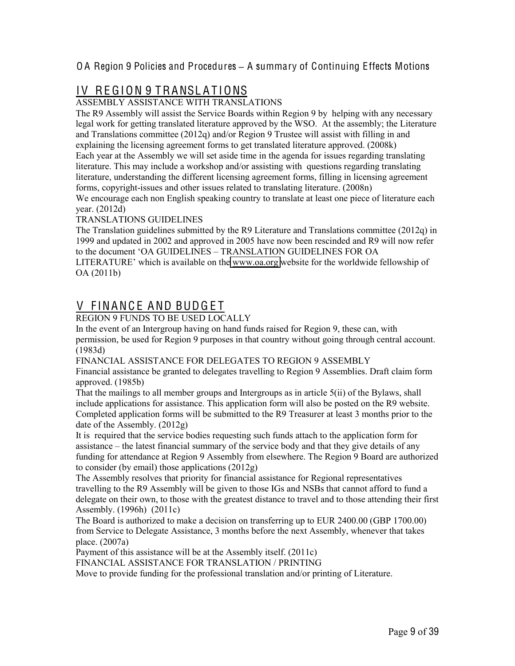# IV REGION 9 TRANSLATIONS

ASSEMBLY ASSISTANCE WITH TRANSLATIONS

The R9 Assembly will assist the Service Boards within Region 9 by helping with any necessary legal work for getting translated literature approved by the WSO. At the assembly; the Literature and Translations committee (2012q) and/or Region 9 Trustee will assist with filling in and explaining the licensing agreement forms to get translated literature approved. (2008k) Each year at the Assembly we will set aside time in the agenda for issues regarding translating literature. This may include a workshop and/or assisting with questions regarding translating literature, understanding the different licensing agreement forms, filling in licensing agreement forms, copyright-issues and other issues related to translating literature. (2008n)

We encourage each non English speaking country to translate at least one piece of literature each year. (2012d)

TRANSLATIONS GUIDELINES

The Translation guidelines submitted by the R9 Literature and Translations committee (2012q) in 1999 and updated in 2002 and approved in 2005 have now been rescinded and R9 will now refer to the document 'OA GUIDELINES – TRANSLATION GUIDELINES FOR OA LITERATURE' which is available on the [www.oa.org](http://www.oa.org/) website for the worldwide fellowship of OA (2011b)

# V FINANCE AND BUDGET

REGION 9 FUNDS TO BE USED LOCALLY

In the event of an Intergroup having on hand funds raised for Region 9, these can, with permission, be used for Region 9 purposes in that country without going through central account. (1983d)

FINANCIAL ASSISTANCE FOR DELEGATES TO REGION 9 ASSEMBLY

Financial assistance be granted to delegates travelling to Region 9 Assemblies. Draft claim form approved. (1985b)

That the mailings to all member groups and Intergroups as in article 5(ii) of the Bylaws, shall include applications for assistance. This application form will also be posted on the R9 website. Completed application forms will be submitted to the R9 Treasurer at least 3 months prior to the date of the Assembly. (2012g)

It is required that the service bodies requesting such funds attach to the application form for assistance – the latest financial summary of the service body and that they give details of any funding for attendance at Region 9 Assembly from elsewhere. The Region 9 Board are authorized to consider (by email) those applications (2012g)

The Assembly resolves that priority for financial assistance for Regional representatives travelling to the R9 Assembly will be given to those IGs and NSBs that cannot afford to fund a delegate on their own, to those with the greatest distance to travel and to those attending their first Assembly. (1996h) (2011c)

The Board is authorized to make a decision on transferring up to EUR 2400.00 (GBP 1700.00) from Service to Delegate Assistance, 3 months before the next Assembly, whenever that takes place. (2007a)

Payment of this assistance will be at the Assembly itself. (2011c)

FINANCIAL ASSISTANCE FOR TRANSLATION / PRINTING

Move to provide funding for the professional translation and/or printing of Literature.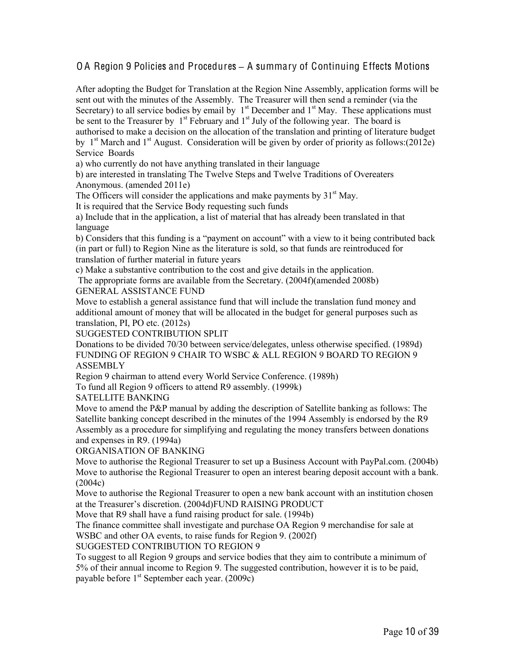After adopting the Budget for Translation at the Region Nine Assembly, application forms will be sent out with the minutes of the Assembly. The Treasurer will then send a reminder (via the Secretary) to all service bodies by email by  $1<sup>st</sup>$  December and  $1<sup>st</sup>$  May. These applications must be sent to the Treasurer by  $1<sup>st</sup>$  February and  $1<sup>st</sup>$  July of the following year. The board is authorised to make a decision on the allocation of the translation and printing of literature budget by  $1<sup>st</sup> March and 1<sup>st</sup> August. Consideration will be given by order of priority as follows: (2012e)$ Service Boards

a) who currently do not have anything translated in their language

b) are interested in translating The Twelve Steps and Twelve Traditions of Overeaters Anonymous. (amended 2011e)

The Officers will consider the applications and make payments by  $31<sup>st</sup>$  May.

It is required that the Service Body requesting such funds

a) Include that in the application, a list of material that has already been translated in that language

b) Considers that this funding is a "payment on account" with a view to it being contributed back (in part or full) to Region Nine as the literature is sold, so that funds are reintroduced for translation of further material in future years

c) Make a substantive contribution to the cost and give details in the application.

The appropriate forms are available from the Secretary. (2004f)(amended 2008b) GENERAL ASSISTANCE FUND

Move to establish a general assistance fund that will include the translation fund money and additional amount of money that will be allocated in the budget for general purposes such as translation, PI, PO etc. (2012s)

SUGGESTED CONTRIBUTION SPLIT

Donations to be divided 70/30 between service/delegates, unless otherwise specified. (1989d) FUNDING OF REGION 9 CHAIR TO WSBC & ALL REGION 9 BOARD TO REGION 9 ASSEMBLY

Region 9 chairman to attend every World Service Conference. (1989h)

To fund all Region 9 officers to attend R9 assembly. (1999k)

SATELLITE BANKING

Move to amend the P&P manual by adding the description of Satellite banking as follows: The Satellite banking concept described in the minutes of the 1994 Assembly is endorsed by the R9 Assembly as a procedure for simplifying and regulating the money transfers between donations and expenses in R9. (1994a)

ORGANISATION OF BANKING

Move to authorise the Regional Treasurer to set up a Business Account with PayPal.com. (2004b) Move to authorise the Regional Treasurer to open an interest bearing deposit account with a bank. (2004c)

Move to authorise the Regional Treasurer to open a new bank account with an institution chosen at the Treasurer's discretion. (2004d)FUND RAISING PRODUCT

Move that R9 shall have a fund raising product for sale. (1994b)

The finance committee shall investigate and purchase OA Region 9 merchandise for sale at WSBC and other OA events, to raise funds for Region 9. (2002f)

SUGGESTED CONTRIBUTION TO REGION 9

To suggest to all Region 9 groups and service bodies that they aim to contribute a minimum of 5% of their annual income to Region 9. The suggested contribution, however it is to be paid, payable before  $1<sup>st</sup>$  September each year. (2009c)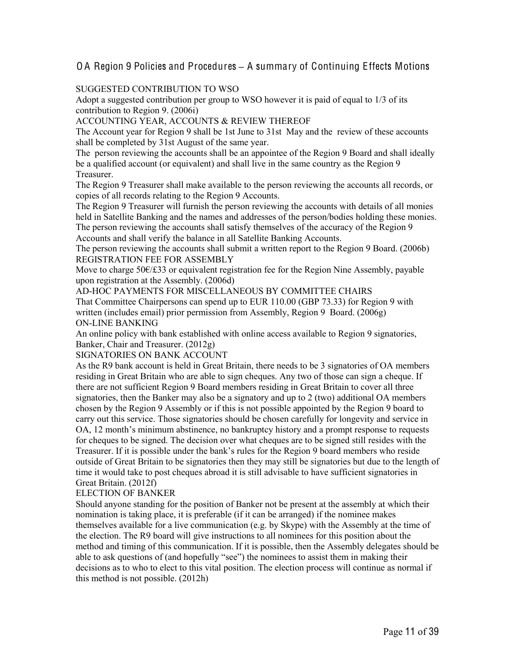#### SUGGESTED CONTRIBUTION TO WSO

Adopt a suggested contribution per group to WSO however it is paid of equal to 1/3 of its contribution to Region 9. (2006i)

#### ACCOUNTING YEAR, ACCOUNTS & REVIEW THEREOF

The Account year for Region 9 shall be 1st June to 31st May and the review of these accounts shall be completed by 31st August of the same year.

The person reviewing the accounts shall be an appointee of the Region 9 Board and shall ideally be a qualified account (or equivalent) and shall live in the same country as the Region 9 Treasurer.

The Region 9 Treasurer shall make available to the person reviewing the accounts all records, or copies of all records relating to the Region 9 Accounts.

The Region 9 Treasurer will furnish the person reviewing the accounts with details of all monies held in Satellite Banking and the names and addresses of the person/bodies holding these monies. The person reviewing the accounts shall satisfy themselves of the accuracy of the Region 9 Accounts and shall verify the balance in all Satellite Banking Accounts.

The person reviewing the accounts shall submit a written report to the Region 9 Board. (2006b) REGISTRATION FEE FOR ASSEMBLY

Move to charge 50€/£33 or equivalent registration fee for the Region Nine Assembly, payable upon registration at the Assembly. (2006d)

AD-HOC PAYMENTS FOR MISCELLANEOUS BY COMMITTEE CHAIRS That Committee Chairpersons can spend up to EUR 110.00 (GBP 73.33) for Region 9 with written (includes email) prior permission from Assembly, Region 9 Board. (2006g) ON-LINE BANKING

An online policy with bank established with online access available to Region 9 signatories, Banker, Chair and Treasurer. (2012g)

#### SIGNATORIES ON BANK ACCOUNT

As the R9 bank account is held in Great Britain, there needs to be 3 signatories of OA members residing in Great Britain who are able to sign cheques. Any two of those can sign a cheque. If there are not sufficient Region 9 Board members residing in Great Britain to cover all three signatories, then the Banker may also be a signatory and up to 2 (two) additional OA members chosen by the Region 9 Assembly or if this is not possible appointed by the Region 9 board to carry out this service. Those signatories should be chosen carefully for longevity and service in OA, 12 month's minimum abstinence, no bankruptcy history and a prompt response to requests for cheques to be signed. The decision over what cheques are to be signed still resides with the Treasurer. If it is possible under the bank's rules for the Region 9 board members who reside outside of Great Britain to be signatories then they may still be signatories but due to the length of time it would take to post cheques abroad it is still advisable to have sufficient signatories in Great Britain. (2012f)

#### ELECTION OF BANKER

Should anyone standing for the position of Banker not be present at the assembly at which their nomination is taking place, it is preferable (if it can be arranged) if the nominee makes themselves available for a live communication (e.g. by Skype) with the Assembly at the time of the election. The R9 board will give instructions to all nominees for this position about the method and timing of this communication. If it is possible, then the Assembly delegates should be able to ask questions of (and hopefully "see") the nominees to assist them in making their decisions as to who to elect to this vital position. The election process will continue as normal if this method is not possible. (2012h)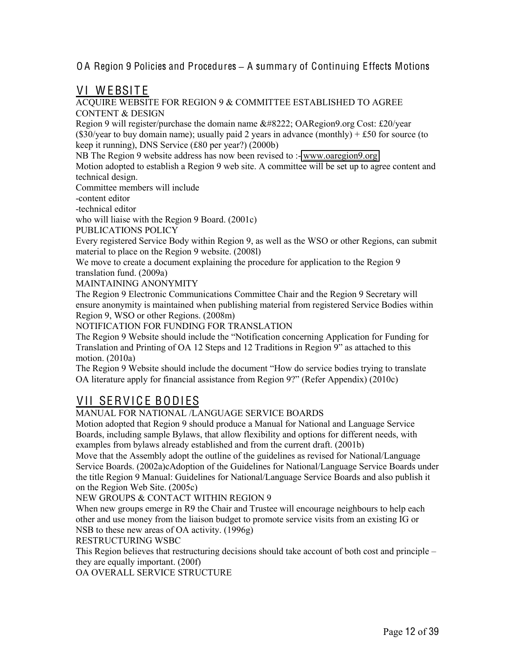### VI WEBSITE

#### ACQUIRE WEBSITE FOR REGION 9 & COMMITTEE ESTABLISHED TO AGREE CONTENT & DESIGN

Region 9 will register/purchase the domain name " OARegion9.org Cost: £20/year (\$30/year to buy domain name); usually paid 2 years in advance (monthly)  $+ £50$  for source (to keep it running), DNS Service (£80 per year?) (2000b)

NB The Region 9 website address has now been revised to :- [www.oaregion9.org](http://www.oaregion9.org/)

Motion adopted to establish a Region 9 web site. A committee will be set up to agree content and technical design.

Committee members will include

-content editor

-technical editor

who will liaise with the Region 9 Board. (2001c)

PUBLICATIONS POLICY

Every registered Service Body within Region 9, as well as the WSO or other Regions, can submit material to place on the Region 9 website. (2008l)

We move to create a document explaining the procedure for application to the Region 9 translation fund. (2009a)

MAINTAINING ANONYMITY

The Region 9 Electronic Communications Committee Chair and the Region 9 Secretary will ensure anonymity is maintained when publishing material from registered Service Bodies within Region 9, WSO or other Regions. (2008m)

NOTIFICATION FOR FUNDING FOR TRANSLATION

The Region 9 Website should include the "Notification concerning Application for Funding for Translation and Printing of OA 12 Steps and 12 Traditions in Region 9" as attached to this motion. (2010a)

The Region 9 Website should include the document "How do service bodies trying to translate OA literature apply for financial assistance from Region 9?" (Refer Appendix) (2010c)

# VII SERVICE BODIES

#### MANUAL FOR NATIONAL /LANGUAGE SERVICE BOARDS

Motion adopted that Region 9 should produce a Manual for National and Language Service Boards, including sample Bylaws, that allow flexibility and options for different needs, with examples from bylaws already established and from the current draft. (2001b)

Move that the Assembly adopt the outline of the guidelines as revised for National/Language Service Boards. (2002a)cAdoption of the Guidelines for National/Language Service Boards under the title Region 9 Manual: Guidelines for National/Language Service Boards and also publish it on the Region Web Site. (2005c)

#### NEW GROUPS & CONTACT WITHIN REGION 9

When new groups emerge in R9 the Chair and Trustee will encourage neighbours to help each other and use money from the liaison budget to promote service visits from an existing IG or NSB to these new areas of OA activity. (1996g)

#### RESTRUCTURING WSBC

This Region believes that restructuring decisions should take account of both cost and principle – they are equally important. (200f)

OA OVERALL SERVICE STRUCTURE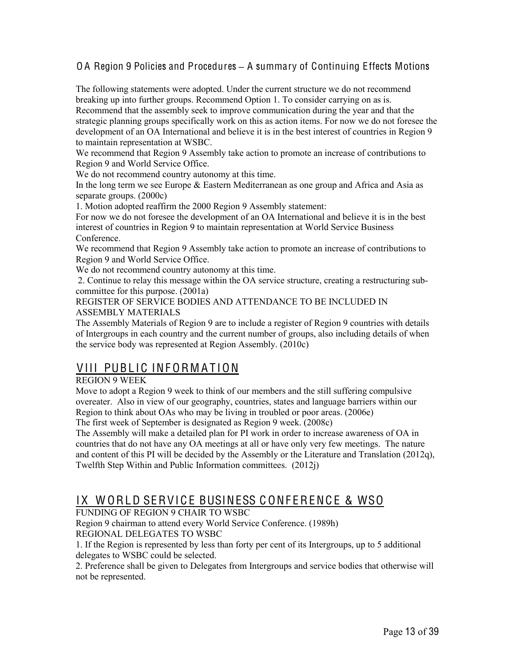The following statements were adopted. Under the current structure we do not recommend breaking up into further groups. Recommend Option 1. To consider carrying on as is. Recommend that the assembly seek to improve communication during the year and that the strategic planning groups specifically work on this as action items. For now we do not foresee the development of an OA International and believe it is in the best interest of countries in Region 9 to maintain representation at WSBC.

We recommend that Region 9 Assembly take action to promote an increase of contributions to Region 9 and World Service Office.

We do not recommend country autonomy at this time.

In the long term we see Europe & Eastern Mediterranean as one group and Africa and Asia as separate groups. (2000c)

1. Motion adopted reaffirm the 2000 Region 9 Assembly statement:

For now we do not foresee the development of an OA International and believe it is in the best interest of countries in Region 9 to maintain representation at World Service Business Conference.

We recommend that Region 9 Assembly take action to promote an increase of contributions to Region 9 and World Service Office.

We do not recommend country autonomy at this time.

2. Continue to relay this message within the OA service structure, creating a restructuring subcommittee for this purpose. (2001a)

REGISTER OF SERVICE BODIES AND ATTENDANCE TO BE INCLUDED IN ASSEMBLY MATERIALS

The Assembly Materials of Region 9 are to include a register of Region 9 countries with details of Intergroups in each country and the current number of groups, also including details of when the service body was represented at Region Assembly. (2010c)

# VIII PUBLIC INFORMATION

#### REGION 9 WEEK

Move to adopt a Region 9 week to think of our members and the still suffering compulsive overeater. Also in view of our geography, countries, states and language barriers within our Region to think about OAs who may be living in troubled or poor areas. (2006e)

The first week of September is designated as Region 9 week. (2008c)

The Assembly will make a detailed plan for PI work in order to increase awareness of OA in countries that do not have any OA meetings at all or have only very few meetings. The nature and content of this PI will be decided by the Assembly or the Literature and Translation (2012q), Twelfth Step Within and Public Information committees. (2012j)

# IX WORLD SERVICE BUSINESS CONFERENCE & WSO

#### FUNDING OF REGION 9 CHAIR TO WSBC

Region 9 chairman to attend every World Service Conference. (1989h) REGIONAL DELEGATES TO WSBC

1. If the Region is represented by less than forty per cent of its Intergroups, up to 5 additional delegates to WSBC could be selected.

2. Preference shall be given to Delegates from Intergroups and service bodies that otherwise will not be represented.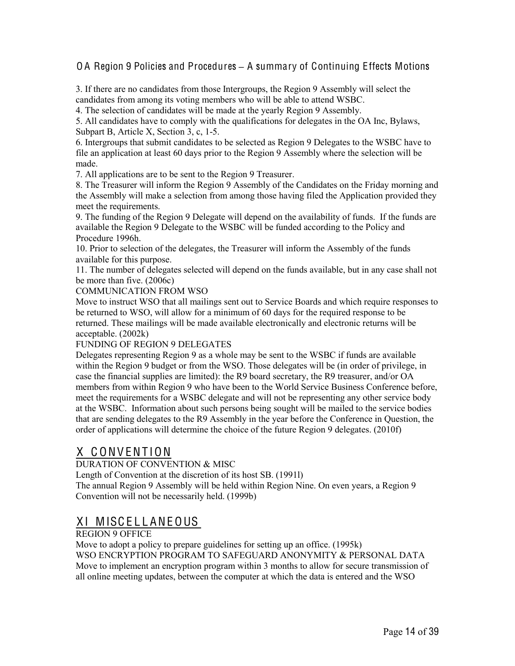3. If there are no candidates from those Intergroups, the Region 9 Assembly will select the candidates from among its voting members who will be able to attend WSBC.

4. The selection of candidates will be made at the yearly Region 9 Assembly.

5. All candidates have to comply with the qualifications for delegates in the OA Inc, Bylaws, Subpart B, Article X, Section 3, c, 1-5.

6. Intergroups that submit candidates to be selected as Region 9 Delegates to the WSBC have to file an application at least 60 days prior to the Region 9 Assembly where the selection will be made.

7. All applications are to be sent to the Region 9 Treasurer.

8. The Treasurer will inform the Region 9 Assembly of the Candidates on the Friday morning and the Assembly will make a selection from among those having filed the Application provided they meet the requirements.

9. The funding of the Region 9 Delegate will depend on the availability of funds. If the funds are available the Region 9 Delegate to the WSBC will be funded according to the Policy and Procedure 1996h.

10. Prior to selection of the delegates, the Treasurer will inform the Assembly of the funds available for this purpose.

11. The number of delegates selected will depend on the funds available, but in any case shall not be more than five. (2006c)

COMMUNICATION FROM WSO

Move to instruct WSO that all mailings sent out to Service Boards and which require responses to be returned to WSO, will allow for a minimum of 60 days for the required response to be returned. These mailings will be made available electronically and electronic returns will be acceptable. (2002k)

FUNDING OF REGION 9 DELEGATES

Delegates representing Region 9 as a whole may be sent to the WSBC if funds are available within the Region 9 budget or from the WSO. Those delegates will be (in order of privilege, in case the financial supplies are limited): the R9 board secretary, the R9 treasurer, and/or OA members from within Region 9 who have been to the World Service Business Conference before, meet the requirements for a WSBC delegate and will not be representing any other service body at the WSBC. Information about such persons being sought will be mailed to the service bodies that are sending delegates to the R9 Assembly in the year before the Conference in Question, the order of applications will determine the choice of the future Region 9 delegates. (2010f)

# X C ONV ENT ION

DURATION OF CONVENTION & MISC

Length of Convention at the discretion of its host SB. (1991l)

The annual Region 9 Assembly will be held within Region Nine. On even years, a Region 9 Convention will not be necessarily held. (1999b)

# XI MISCELLANEOUS

REGION 9 OFFICE

Move to adopt a policy to prepare guidelines for setting up an office. (1995k) WSO ENCRYPTION PROGRAM TO SAFEGUARD ANONYMITY & PERSONAL DATA Move to implement an encryption program within 3 months to allow for secure transmission of all online meeting updates, between the computer at which the data is entered and the WSO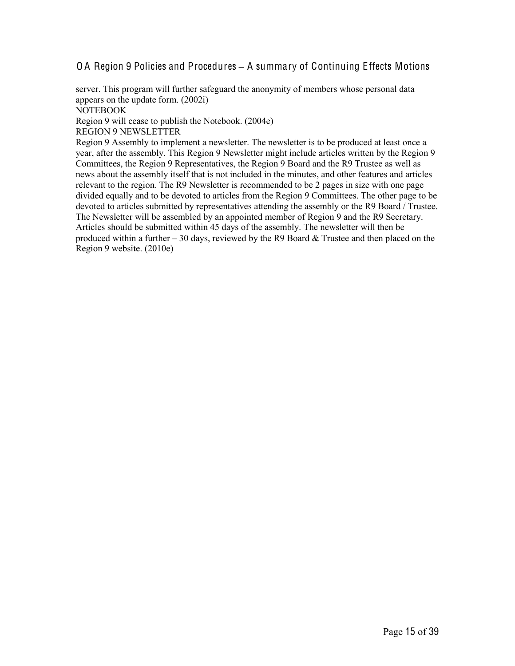server. This program will further safeguard the anonymity of members whose personal data appears on the update form. (2002i) NOTEBOOK Region 9 will cease to publish the Notebook. (2004e) REGION 9 NEWSLETTER

Region 9 Assembly to implement a newsletter. The newsletter is to be produced at least once a year, after the assembly. This Region 9 Newsletter might include articles written by the Region 9 Committees, the Region 9 Representatives, the Region 9 Board and the R9 Trustee as well as news about the assembly itself that is not included in the minutes, and other features and articles relevant to the region. The R9 Newsletter is recommended to be 2 pages in size with one page divided equally and to be devoted to articles from the Region 9 Committees. The other page to be devoted to articles submitted by representatives attending the assembly or the R9 Board / Trustee. The Newsletter will be assembled by an appointed member of Region 9 and the R9 Secretary. Articles should be submitted within 45 days of the assembly. The newsletter will then be produced within a further  $-30$  days, reviewed by the R9 Board  $\&$  Trustee and then placed on the Region 9 website. (2010e)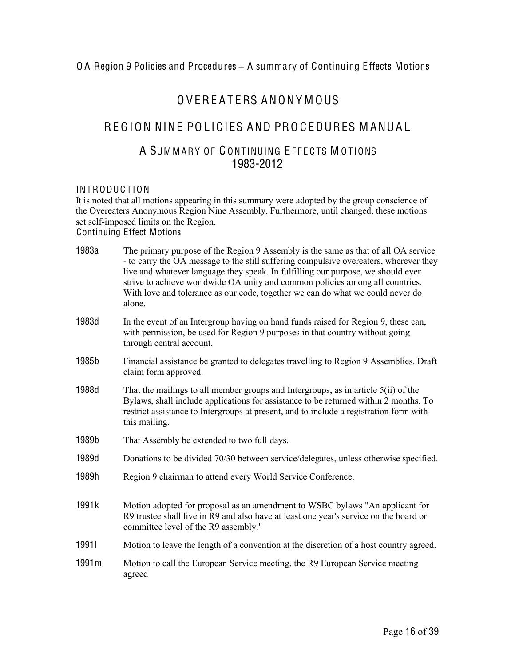# OVEREATERS ANONY MOUS

# REGION NINE POLICIES AND PROCEDURES MANUAL

### A SUMMARY OF CONTINUING EFFECTS MOTIONS 1983-2012

#### INTRODUCTION

It is noted that all motions appearing in this summary were adopted by the group conscience of the Overeaters Anonymous Region Nine Assembly. Furthermore, until changed, these motions set self-imposed limits on the Region. Continuing Effect Motions

| 1983a | The primary purpose of the Region 9 Assembly is the same as that of all OA service<br>- to carry the OA message to the still suffering compulsive overeaters, wherever they<br>live and whatever language they speak. In fulfilling our purpose, we should ever<br>strive to achieve worldwide OA unity and common policies among all countries.<br>With love and tolerance as our code, together we can do what we could never do<br>alone. |
|-------|----------------------------------------------------------------------------------------------------------------------------------------------------------------------------------------------------------------------------------------------------------------------------------------------------------------------------------------------------------------------------------------------------------------------------------------------|
| 1983d | In the event of an Intergroup having on hand funds raised for Region 9, these can,<br>with permission, be used for Region 9 purposes in that country without going<br>through central account.                                                                                                                                                                                                                                               |
| 1985b | Financial assistance be granted to delegates travelling to Region 9 Assemblies. Draft<br>claim form approved.                                                                                                                                                                                                                                                                                                                                |
| 1988d | That the mailings to all member groups and Intergroups, as in article $5(ii)$ of the<br>Bylaws, shall include applications for assistance to be returned within 2 months. To<br>restrict assistance to Intergroups at present, and to include a registration form with<br>this mailing.                                                                                                                                                      |
| 1989b | That Assembly be extended to two full days.                                                                                                                                                                                                                                                                                                                                                                                                  |
| 1989d | Donations to be divided 70/30 between service/delegates, unless otherwise specified.                                                                                                                                                                                                                                                                                                                                                         |
| 1989h | Region 9 chairman to attend every World Service Conference.                                                                                                                                                                                                                                                                                                                                                                                  |
| 1991k | Motion adopted for proposal as an amendment to WSBC bylaws "An applicant for<br>R9 trustee shall live in R9 and also have at least one year's service on the board or<br>committee level of the R9 assembly."                                                                                                                                                                                                                                |
| 19911 | Motion to leave the length of a convention at the discretion of a host country agreed.                                                                                                                                                                                                                                                                                                                                                       |
| 1991m | Motion to call the European Service meeting, the R9 European Service meeting<br>agreed                                                                                                                                                                                                                                                                                                                                                       |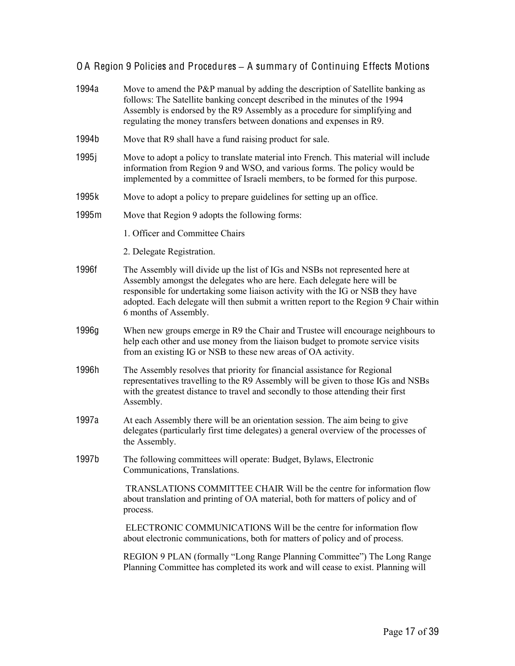| 1994a | Move to amend the P&P manual by adding the description of Satellite banking as<br>follows: The Satellite banking concept described in the minutes of the 1994<br>Assembly is endorsed by the R9 Assembly as a procedure for simplifying and<br>regulating the money transfers between donations and expenses in R9.                                         |
|-------|-------------------------------------------------------------------------------------------------------------------------------------------------------------------------------------------------------------------------------------------------------------------------------------------------------------------------------------------------------------|
| 1994b | Move that R9 shall have a fund raising product for sale.                                                                                                                                                                                                                                                                                                    |
| 1995j | Move to adopt a policy to translate material into French. This material will include<br>information from Region 9 and WSO, and various forms. The policy would be<br>implemented by a committee of Israeli members, to be formed for this purpose.                                                                                                          |
| 1995k | Move to adopt a policy to prepare guidelines for setting up an office.                                                                                                                                                                                                                                                                                      |
| 1995m | Move that Region 9 adopts the following forms:                                                                                                                                                                                                                                                                                                              |
|       | 1. Officer and Committee Chairs                                                                                                                                                                                                                                                                                                                             |
|       | 2. Delegate Registration.                                                                                                                                                                                                                                                                                                                                   |
| 1996f | The Assembly will divide up the list of IGs and NSBs not represented here at<br>Assembly amongst the delegates who are here. Each delegate here will be<br>responsible for undertaking some liaison activity with the IG or NSB they have<br>adopted. Each delegate will then submit a written report to the Region 9 Chair within<br>6 months of Assembly. |
| 1996g | When new groups emerge in R9 the Chair and Trustee will encourage neighbours to<br>help each other and use money from the liaison budget to promote service visits<br>from an existing IG or NSB to these new areas of OA activity.                                                                                                                         |
| 1996h | The Assembly resolves that priority for financial assistance for Regional<br>representatives travelling to the R9 Assembly will be given to those IGs and NSBs<br>with the greatest distance to travel and secondly to those attending their first<br>Assembly.                                                                                             |
| 1997a | At each Assembly there will be an orientation session. The aim being to give<br>delegates (particularly first time delegates) a general overview of the processes of<br>the Assembly.                                                                                                                                                                       |
| 1997b | The following committees will operate: Budget, Bylaws, Electronic<br>Communications, Translations.                                                                                                                                                                                                                                                          |
|       | TRANSLATIONS COMMITTEE CHAIR Will be the centre for information flow<br>about translation and printing of OA material, both for matters of policy and of<br>process.                                                                                                                                                                                        |
|       | ELECTRONIC COMMUNICATIONS Will be the centre for information flow<br>about electronic communications, both for matters of policy and of process.                                                                                                                                                                                                            |
|       | REGION 9 PLAN (formally "Long Range Planning Committee") The Long Range<br>Planning Committee has completed its work and will cease to exist. Planning will                                                                                                                                                                                                 |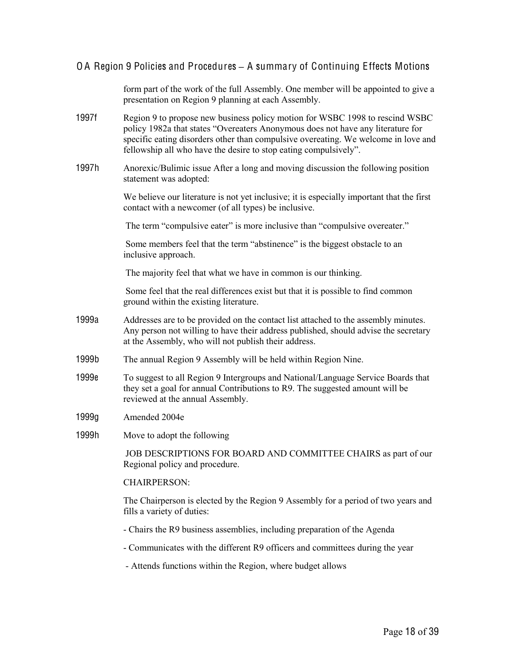form part of the work of the full Assembly. One member will be appointed to give a presentation on Region 9 planning at each Assembly.

- 1997f Region 9 to propose new business policy motion for WSBC 1998 to rescind WSBC policy 1982a that states "Overeaters Anonymous does not have any literature for specific eating disorders other than compulsive overeating. We welcome in love and fellowship all who have the desire to stop eating compulsively".
- 1997h Anorexic/Bulimic issue After a long and moving discussion the following position statement was adopted:

We believe our literature is not yet inclusive; it is especially important that the first contact with a newcomer (of all types) be inclusive.

The term "compulsive eater" is more inclusive than "compulsive overeater."

Some members feel that the term "abstinence" is the biggest obstacle to an inclusive approach.

The majority feel that what we have in common is our thinking.

Some feel that the real differences exist but that it is possible to find common ground within the existing literature.

- 1999a Addresses are to be provided on the contact list attached to the assembly minutes. Any person not willing to have their address published, should advise the secretary at the Assembly, who will not publish their address.
- 1999b The annual Region 9 Assembly will be held within Region Nine.
- 1999e To suggest to all Region 9 Intergroups and National/Language Service Boards that they set a goal for annual Contributions to R9. The suggested amount will be reviewed at the annual Assembly.
- 1999g Amended 2004e
- 1999h Move to adopt the following

JOB DESCRIPTIONS FOR BOARD AND COMMITTEE CHAIRS as part of our Regional policy and procedure.

#### CHAIRPERSON:

The Chairperson is elected by the Region 9 Assembly for a period of two years and fills a variety of duties:

- Chairs the R9 business assemblies, including preparation of the Agenda
- Communicates with the different R9 officers and committees during the year
- Attends functions within the Region, where budget allows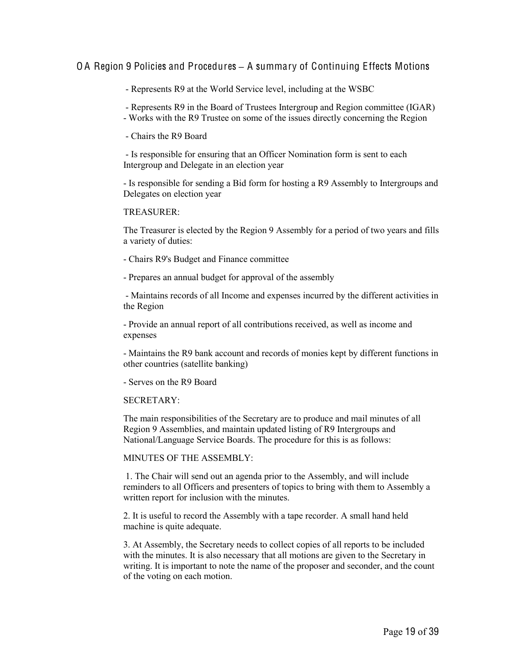- Represents R9 at the World Service level, including at the WSBC

- Represents R9 in the Board of Trustees Intergroup and Region committee (IGAR)

- Works with the R9 Trustee on some of the issues directly concerning the Region

- Chairs the R9 Board

- Is responsible for ensuring that an Officer Nomination form is sent to each Intergroup and Delegate in an election year

- Is responsible for sending a Bid form for hosting a R9 Assembly to Intergroups and Delegates on election year

#### TREASURER:

The Treasurer is elected by the Region 9 Assembly for a period of two years and fills a variety of duties:

- Chairs R9's Budget and Finance committee

- Prepares an annual budget for approval of the assembly

- Maintains records of all Income and expenses incurred by the different activities in the Region

- Provide an annual report of all contributions received, as well as income and expenses

- Maintains the R9 bank account and records of monies kept by different functions in other countries (satellite banking)

- Serves on the R9 Board

#### SECRETARY:

The main responsibilities of the Secretary are to produce and mail minutes of all Region 9 Assemblies, and maintain updated listing of R9 Intergroups and National/Language Service Boards. The procedure for this is as follows:

MINUTES OF THE ASSEMBLY:

1. The Chair will send out an agenda prior to the Assembly, and will include reminders to all Officers and presenters of topics to bring with them to Assembly a written report for inclusion with the minutes.

2. It is useful to record the Assembly with a tape recorder. A small hand held machine is quite adequate.

3. At Assembly, the Secretary needs to collect copies of all reports to be included with the minutes. It is also necessary that all motions are given to the Secretary in writing. It is important to note the name of the proposer and seconder, and the count of the voting on each motion.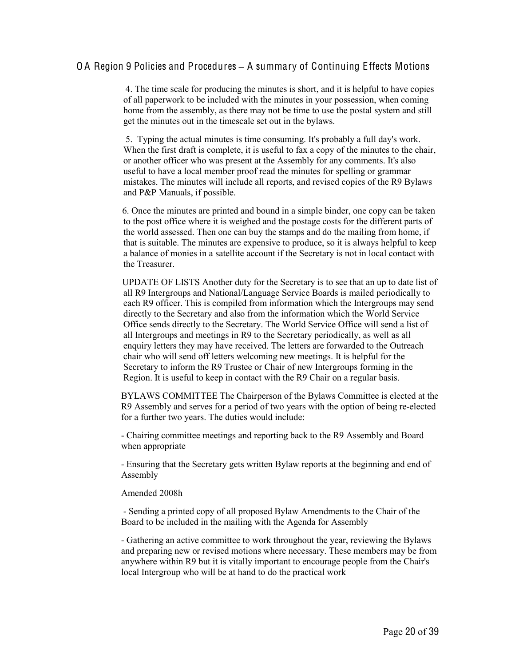4. The time scale for producing the minutes is short, and it is helpful to have copies of all paperwork to be included with the minutes in your possession, when coming home from the assembly, as there may not be time to use the postal system and still get the minutes out in the timescale set out in the bylaws.

5. Typing the actual minutes is time consuming. It's probably a full day's work. When the first draft is complete, it is useful to fax a copy of the minutes to the chair, or another officer who was present at the Assembly for any comments. It's also useful to have a local member proof read the minutes for spelling or grammar mistakes. The minutes will include all reports, and revised copies of the R9 Bylaws and P&P Manuals, if possible.

 6. Once the minutes are printed and bound in a simple binder, one copy can be taken to the post office where it is weighed and the postage costs for the different parts of the world assessed. Then one can buy the stamps and do the mailing from home, if that is suitable. The minutes are expensive to produce, so it is always helpful to keep a balance of monies in a satellite account if the Secretary is not in local contact with the Treasurer.

 UPDATE OF LISTS Another duty for the Secretary is to see that an up to date list of all R9 Intergroups and National/Language Service Boards is mailed periodically to each R9 officer. This is compiled from information which the Intergroups may send directly to the Secretary and also from the information which the World Service Office sends directly to the Secretary. The World Service Office will send a list of all Intergroups and meetings in R9 to the Secretary periodically, as well as all enquiry letters they may have received. The letters are forwarded to the Outreach chair who will send off letters welcoming new meetings. It is helpful for the Secretary to inform the R9 Trustee or Chair of new Intergroups forming in the Region. It is useful to keep in contact with the R9 Chair on a regular basis.

BYLAWS COMMITTEE The Chairperson of the Bylaws Committee is elected at the R9 Assembly and serves for a period of two years with the option of being re-elected for a further two years. The duties would include:

- Chairing committee meetings and reporting back to the R9 Assembly and Board when appropriate

- Ensuring that the Secretary gets written Bylaw reports at the beginning and end of Assembly

#### Amended 2008h

- Sending a printed copy of all proposed Bylaw Amendments to the Chair of the Board to be included in the mailing with the Agenda for Assembly

- Gathering an active committee to work throughout the year, reviewing the Bylaws and preparing new or revised motions where necessary. These members may be from anywhere within R9 but it is vitally important to encourage people from the Chair's local Intergroup who will be at hand to do the practical work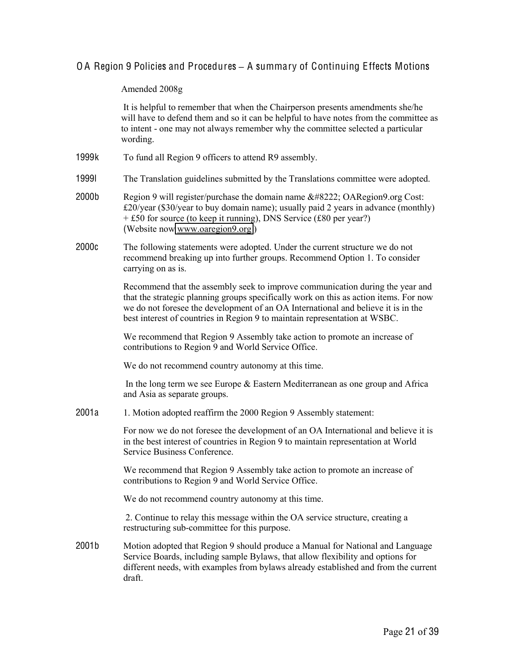#### Amended 2008g

It is helpful to remember that when the Chairperson presents amendments she/he will have to defend them and so it can be helpful to have notes from the committee as to intent - one may not always remember why the committee selected a particular wording.

- 1999k To fund all Region 9 officers to attend R9 assembly.
- 1999l The Translation guidelines submitted by the Translations committee were adopted.
- 2000b Region 9 will register/purchase the domain name  $\&\#8222$ ; OARegion9.org Cost: £20/year (\$30/year to buy domain name); usually paid 2 years in advance (monthly) + £50 for source (to keep it running), DNS Service (£80 per year?) (Website now [www.oaregion9.org](http://www.oaregion9.org/) )
- 2000c The following statements were adopted. Under the current structure we do not recommend breaking up into further groups. Recommend Option 1. To consider carrying on as is.

Recommend that the assembly seek to improve communication during the year and that the strategic planning groups specifically work on this as action items. For now we do not foresee the development of an OA International and believe it is in the best interest of countries in Region 9 to maintain representation at WSBC.

We recommend that Region 9 Assembly take action to promote an increase of contributions to Region 9 and World Service Office.

We do not recommend country autonomy at this time.

In the long term we see Europe & Eastern Mediterranean as one group and Africa and Asia as separate groups.

2001a 1. Motion adopted reaffirm the 2000 Region 9 Assembly statement:

For now we do not foresee the development of an OA International and believe it is in the best interest of countries in Region 9 to maintain representation at World Service Business Conference.

We recommend that Region 9 Assembly take action to promote an increase of contributions to Region 9 and World Service Office.

We do not recommend country autonomy at this time.

2. Continue to relay this message within the OA service structure, creating a restructuring sub-committee for this purpose.

2001b Motion adopted that Region 9 should produce a Manual for National and Language Service Boards, including sample Bylaws, that allow flexibility and options for different needs, with examples from bylaws already established and from the current draft.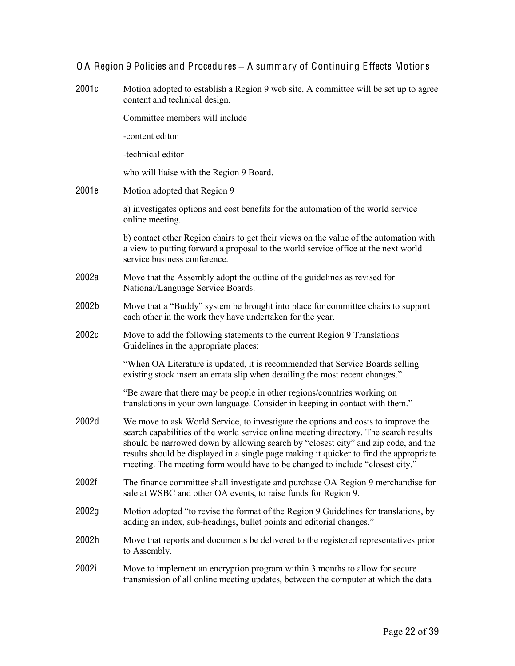| 2001c | Motion adopted to establish a Region 9 web site. A committee will be set up to agree<br>content and technical design.                                                                                                                                                                                                                                                                                                                       |
|-------|---------------------------------------------------------------------------------------------------------------------------------------------------------------------------------------------------------------------------------------------------------------------------------------------------------------------------------------------------------------------------------------------------------------------------------------------|
|       | Committee members will include                                                                                                                                                                                                                                                                                                                                                                                                              |
|       | -content editor                                                                                                                                                                                                                                                                                                                                                                                                                             |
|       | -technical editor                                                                                                                                                                                                                                                                                                                                                                                                                           |
|       | who will liaise with the Region 9 Board.                                                                                                                                                                                                                                                                                                                                                                                                    |
| 2001e | Motion adopted that Region 9                                                                                                                                                                                                                                                                                                                                                                                                                |
|       | a) investigates options and cost benefits for the automation of the world service<br>online meeting.                                                                                                                                                                                                                                                                                                                                        |
|       | b) contact other Region chairs to get their views on the value of the automation with<br>a view to putting forward a proposal to the world service office at the next world<br>service business conference.                                                                                                                                                                                                                                 |
| 2002a | Move that the Assembly adopt the outline of the guidelines as revised for<br>National/Language Service Boards.                                                                                                                                                                                                                                                                                                                              |
| 2002b | Move that a "Buddy" system be brought into place for committee chairs to support<br>each other in the work they have undertaken for the year.                                                                                                                                                                                                                                                                                               |
| 2002c | Move to add the following statements to the current Region 9 Translations<br>Guidelines in the appropriate places:                                                                                                                                                                                                                                                                                                                          |
|       | "When OA Literature is updated, it is recommended that Service Boards selling<br>existing stock insert an errata slip when detailing the most recent changes."                                                                                                                                                                                                                                                                              |
|       | "Be aware that there may be people in other regions/countries working on<br>translations in your own language. Consider in keeping in contact with them."                                                                                                                                                                                                                                                                                   |
| 2002d | We move to ask World Service, to investigate the options and costs to improve the<br>search capabilities of the world service online meeting directory. The search results<br>should be narrowed down by allowing search by "closest city" and zip code, and the<br>results should be displayed in a single page making it quicker to find the appropriate<br>meeting. The meeting form would have to be changed to include "closest city." |
| 2002f | The finance committee shall investigate and purchase OA Region 9 merchandise for<br>sale at WSBC and other OA events, to raise funds for Region 9.                                                                                                                                                                                                                                                                                          |
| 2002g | Motion adopted "to revise the format of the Region 9 Guidelines for translations, by<br>adding an index, sub-headings, bullet points and editorial changes."                                                                                                                                                                                                                                                                                |
| 2002h | Move that reports and documents be delivered to the registered representatives prior<br>to Assembly.                                                                                                                                                                                                                                                                                                                                        |
| 2002i | Move to implement an encryption program within 3 months to allow for secure<br>transmission of all online meeting updates, between the computer at which the data                                                                                                                                                                                                                                                                           |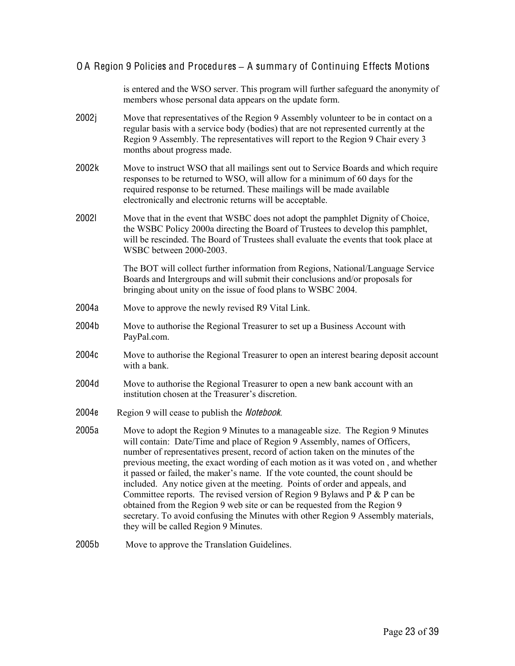is entered and the WSO server. This program will further safeguard the anonymity of members whose personal data appears on the update form.

- 2002j Move that representatives of the Region 9 Assembly volunteer to be in contact on a regular basis with a service body (bodies) that are not represented currently at the Region 9 Assembly. The representatives will report to the Region 9 Chair every 3 months about progress made.
- 2002k Move to instruct WSO that all mailings sent out to Service Boards and which require responses to be returned to WSO, will allow for a minimum of 60 days for the required response to be returned. These mailings will be made available electronically and electronic returns will be acceptable.
- 2002l Move that in the event that WSBC does not adopt the pamphlet Dignity of Choice, the WSBC Policy 2000a directing the Board of Trustees to develop this pamphlet, will be rescinded. The Board of Trustees shall evaluate the events that took place at WSBC between 2000-2003.

The BOT will collect further information from Regions, National/Language Service Boards and Intergroups and will submit their conclusions and/or proposals for bringing about unity on the issue of food plans to WSBC 2004.

- 2004a Move to approve the newly revised R9 Vital Link.
- 2004b Move to authorise the Regional Treasurer to set up a Business Account with PayPal.com.
- 2004c Move to authorise the Regional Treasurer to open an interest bearing deposit account with a bank.
- 2004d Move to authorise the Regional Treasurer to open a new bank account with an institution chosen at the Treasurer's discretion.
- 2004e Region 9 will cease to publish the Notebook.
- 2005a Move to adopt the Region 9 Minutes to a manageable size. The Region 9 Minutes will contain: Date/Time and place of Region 9 Assembly, names of Officers, number of representatives present, record of action taken on the minutes of the previous meeting, the exact wording of each motion as it was voted on , and whether it passed or failed, the maker's name. If the vote counted, the count should be included. Any notice given at the meeting. Points of order and appeals, and Committee reports. The revised version of Region 9 Bylaws and  $P \& P$  can be obtained from the Region 9 web site or can be requested from the Region 9 secretary. To avoid confusing the Minutes with other Region 9 Assembly materials, they will be called Region 9 Minutes.
- 2005b Move to approve the Translation Guidelines.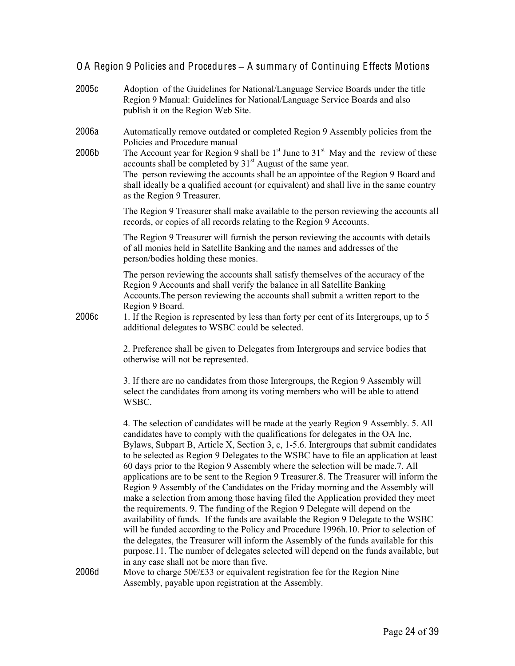- 2005c Adoption of the Guidelines for National/Language Service Boards under the title Region 9 Manual: Guidelines for National/Language Service Boards and also publish it on the Region Web Site.
- 2006a Automatically remove outdated or completed Region 9 Assembly policies from the Policies and Procedure manual
- 2006b The Account year for Region 9 shall be  $1<sup>st</sup>$  June to  $31<sup>st</sup>$  May and the review of these accounts shall be completed by  $31<sup>st</sup>$  August of the same year. The person reviewing the accounts shall be an appointee of the Region 9 Board and shall ideally be a qualified account (or equivalent) and shall live in the same country as the Region 9 Treasurer.

The Region 9 Treasurer shall make available to the person reviewing the accounts all records, or copies of all records relating to the Region 9 Accounts.

The Region 9 Treasurer will furnish the person reviewing the accounts with details of all monies held in Satellite Banking and the names and addresses of the person/bodies holding these monies.

The person reviewing the accounts shall satisfy themselves of the accuracy of the Region 9 Accounts and shall verify the balance in all Satellite Banking Accounts.The person reviewing the accounts shall submit a written report to the Region 9 Board.

2006c 1. If the Region is represented by less than forty per cent of its Intergroups, up to 5 additional delegates to WSBC could be selected.

> 2. Preference shall be given to Delegates from Intergroups and service bodies that otherwise will not be represented.

3. If there are no candidates from those Intergroups, the Region 9 Assembly will select the candidates from among its voting members who will be able to attend WSBC.

4. The selection of candidates will be made at the yearly Region 9 Assembly. 5. All candidates have to comply with the qualifications for delegates in the OA Inc, Bylaws, Subpart B, Article X, Section 3, c, 15.6. Intergroups that submit candidates to be selected as Region 9 Delegates to the WSBC have to file an application at least 60 days prior to the Region 9 Assembly where the selection will be made.7. All applications are to be sent to the Region 9 Treasurer.8. The Treasurer will inform the Region 9 Assembly of the Candidates on the Friday morning and the Assembly will make a selection from among those having filed the Application provided they meet the requirements. 9. The funding of the Region 9 Delegate will depend on the availability of funds. If the funds are available the Region 9 Delegate to the WSBC will be funded according to the Policy and Procedure 1996h.10. Prior to selection of the delegates, the Treasurer will inform the Assembly of the funds available for this purpose.11. The number of delegates selected will depend on the funds available, but in any case shall not be more than five.

2006d Move to charge  $50\epsilon/\epsilon$ 33 or equivalent registration fee for the Region Nine Assembly, payable upon registration at the Assembly.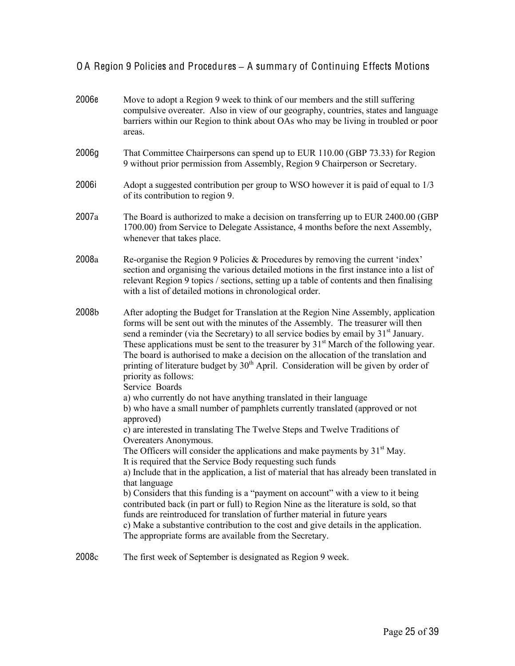| 2006e | Move to adopt a Region 9 week to think of our members and the still suffering<br>compulsive overeater. Also in view of our geography, countries, states and language<br>barriers within our Region to think about OAs who may be living in troubled or poor<br>areas.                                                                                                                                                                                                                                                                                                                                               |
|-------|---------------------------------------------------------------------------------------------------------------------------------------------------------------------------------------------------------------------------------------------------------------------------------------------------------------------------------------------------------------------------------------------------------------------------------------------------------------------------------------------------------------------------------------------------------------------------------------------------------------------|
| 2006g | That Committee Chairpersons can spend up to EUR 110.00 (GBP 73.33) for Region<br>9 without prior permission from Assembly, Region 9 Chairperson or Secretary.                                                                                                                                                                                                                                                                                                                                                                                                                                                       |
| 2006i | Adopt a suggested contribution per group to WSO however it is paid of equal to 1/3<br>of its contribution to region 9.                                                                                                                                                                                                                                                                                                                                                                                                                                                                                              |
| 2007a | The Board is authorized to make a decision on transferring up to EUR 2400.00 (GBP)<br>1700.00) from Service to Delegate Assistance, 4 months before the next Assembly,<br>whenever that takes place.                                                                                                                                                                                                                                                                                                                                                                                                                |
| 2008a | Re-organise the Region 9 Policies & Procedures by removing the current 'index'<br>section and organising the various detailed motions in the first instance into a list of<br>relevant Region 9 topics / sections, setting up a table of contents and then finalising<br>with a list of detailed motions in chronological order.                                                                                                                                                                                                                                                                                    |
| 2008b | After adopting the Budget for Translation at the Region Nine Assembly, application<br>forms will be sent out with the minutes of the Assembly. The treasurer will then<br>send a reminder (via the Secretary) to all service bodies by email by 31 <sup>st</sup> January.<br>These applications must be sent to the treasurer by 31 <sup>st</sup> March of the following year.<br>The board is authorised to make a decision on the allocation of the translation and<br>printing of literature budget by 30 <sup>th</sup> April. Consideration will be given by order of<br>priority as follows:<br>Service Boards |
|       | a) who currently do not have anything translated in their language<br>b) who have a small number of pamphlets currently translated (approved or not<br>approved)<br>c) are interested in translating The Twelve Steps and Twelve Traditions of                                                                                                                                                                                                                                                                                                                                                                      |
|       | Overeaters Anonymous.<br>The Officers will consider the applications and make payments by $31st$ May.                                                                                                                                                                                                                                                                                                                                                                                                                                                                                                               |
|       | It is required that the Service Body requesting such funds<br>a) Include that in the application, a list of material that has already been translated in                                                                                                                                                                                                                                                                                                                                                                                                                                                            |
|       | that language<br>b) Considers that this funding is a "payment on account" with a view to it being<br>contributed back (in part or full) to Region Nine as the literature is sold, so that<br>funds are reintroduced for translation of further material in future years<br>c) Make a substantive contribution to the cost and give details in the application.<br>The appropriate forms are available from the Secretary.                                                                                                                                                                                           |
| 2008c | The first week of September is designated as Region 9 week.                                                                                                                                                                                                                                                                                                                                                                                                                                                                                                                                                         |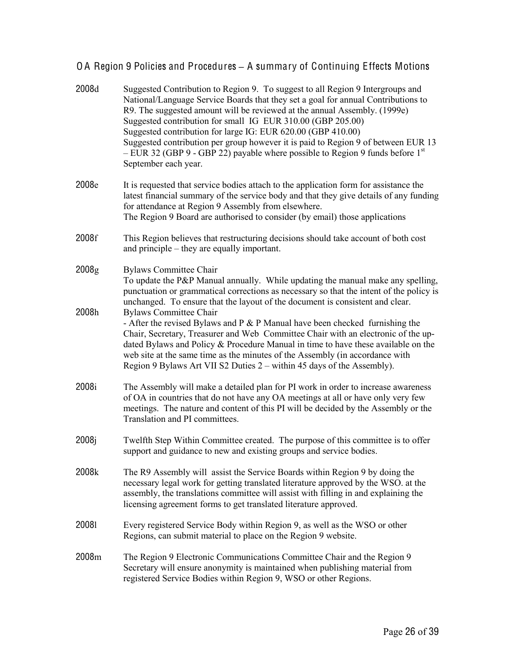| 2008d                      | Suggested Contribution to Region 9. To suggest to all Region 9 Intergroups and<br>National/Language Service Boards that they set a goal for annual Contributions to<br>R9. The suggested amount will be reviewed at the annual Assembly. (1999e)<br>Suggested contribution for small IG EUR 310.00 (GBP 205.00)<br>Suggested contribution for large IG: EUR 620.00 (GBP 410.00)<br>Suggested contribution per group however it is paid to Region 9 of between EUR 13<br>$-$ EUR 32 (GBP 9 - GBP 22) payable where possible to Region 9 funds before 1 <sup>st</sup><br>September each year. |
|----------------------------|---------------------------------------------------------------------------------------------------------------------------------------------------------------------------------------------------------------------------------------------------------------------------------------------------------------------------------------------------------------------------------------------------------------------------------------------------------------------------------------------------------------------------------------------------------------------------------------------|
| 2008e                      | It is requested that service bodies attach to the application form for assistance the<br>latest financial summary of the service body and that they give details of any funding<br>for attendance at Region 9 Assembly from elsewhere.<br>The Region 9 Board are authorised to consider (by email) those applications                                                                                                                                                                                                                                                                       |
| 2008f                      | This Region believes that restructuring decisions should take account of both cost<br>and principle – they are equally important.                                                                                                                                                                                                                                                                                                                                                                                                                                                           |
| 2008 <sub>g</sub><br>2008h | <b>Bylaws Committee Chair</b><br>To update the P&P Manual annually. While updating the manual make any spelling,<br>punctuation or grammatical corrections as necessary so that the intent of the policy is<br>unchanged. To ensure that the layout of the document is consistent and clear.<br><b>Bylaws Committee Chair</b>                                                                                                                                                                                                                                                               |
|                            | - After the revised Bylaws and $P \& P$ Manual have been checked furnishing the<br>Chair, Secretary, Treasurer and Web Committee Chair with an electronic of the up-<br>dated Bylaws and Policy & Procedure Manual in time to have these available on the<br>web site at the same time as the minutes of the Assembly (in accordance with<br>Region 9 Bylaws Art VII S2 Duties 2 – within 45 days of the Assembly).                                                                                                                                                                         |
| 2008i                      | The Assembly will make a detailed plan for PI work in order to increase awareness<br>of OA in countries that do not have any OA meetings at all or have only very few<br>meetings. The nature and content of this PI will be decided by the Assembly or the<br>Translation and PI committees.                                                                                                                                                                                                                                                                                               |
| 2008j                      | Twelfth Step Within Committee created. The purpose of this committee is to offer<br>support and guidance to new and existing groups and service bodies.                                                                                                                                                                                                                                                                                                                                                                                                                                     |
| 2008k                      | The R9 Assembly will assist the Service Boards within Region 9 by doing the<br>necessary legal work for getting translated literature approved by the WSO. at the<br>assembly, the translations committee will assist with filling in and explaining the<br>licensing agreement forms to get translated literature approved.                                                                                                                                                                                                                                                                |
| 20081                      | Every registered Service Body within Region 9, as well as the WSO or other<br>Regions, can submit material to place on the Region 9 website.                                                                                                                                                                                                                                                                                                                                                                                                                                                |
| 2008m                      | The Region 9 Electronic Communications Committee Chair and the Region 9<br>Secretary will ensure anonymity is maintained when publishing material from<br>registered Service Bodies within Region 9, WSO or other Regions.                                                                                                                                                                                                                                                                                                                                                                  |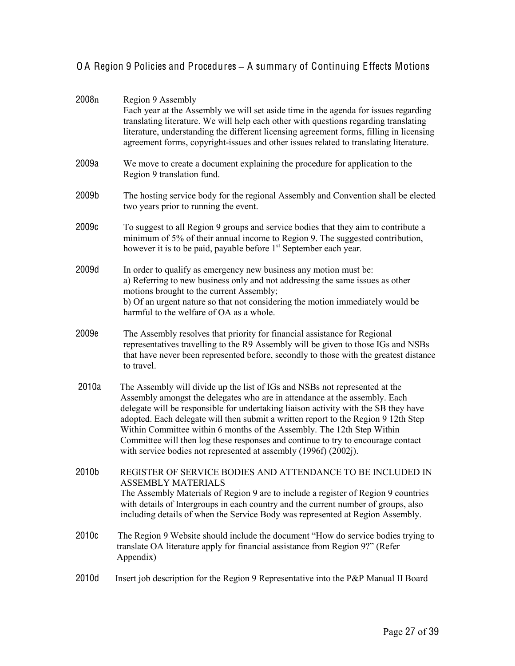| 2008 <sub>n</sub> | Region 9 Assembly<br>Each year at the Assembly we will set aside time in the agenda for issues regarding<br>translating literature. We will help each other with questions regarding translating<br>literature, understanding the different licensing agreement forms, filling in licensing<br>agreement forms, copyright-issues and other issues related to translating literature.                                                                                                                                                                                     |
|-------------------|--------------------------------------------------------------------------------------------------------------------------------------------------------------------------------------------------------------------------------------------------------------------------------------------------------------------------------------------------------------------------------------------------------------------------------------------------------------------------------------------------------------------------------------------------------------------------|
| 2009a             | We move to create a document explaining the procedure for application to the<br>Region 9 translation fund.                                                                                                                                                                                                                                                                                                                                                                                                                                                               |
| 2009b             | The hosting service body for the regional Assembly and Convention shall be elected<br>two years prior to running the event.                                                                                                                                                                                                                                                                                                                                                                                                                                              |
| 2009c             | To suggest to all Region 9 groups and service bodies that they aim to contribute a<br>minimum of 5% of their annual income to Region 9. The suggested contribution,<br>however it is to be paid, payable before 1 <sup>st</sup> September each year.                                                                                                                                                                                                                                                                                                                     |
| 2009d             | In order to qualify as emergency new business any motion must be:<br>a) Referring to new business only and not addressing the same issues as other<br>motions brought to the current Assembly;<br>b) Of an urgent nature so that not considering the motion immediately would be<br>harmful to the welfare of OA as a whole.                                                                                                                                                                                                                                             |
| 2009e             | The Assembly resolves that priority for financial assistance for Regional<br>representatives travelling to the R9 Assembly will be given to those IGs and NSBs<br>that have never been represented before, secondly to those with the greatest distance<br>to travel.                                                                                                                                                                                                                                                                                                    |
| 2010a             | The Assembly will divide up the list of IGs and NSBs not represented at the<br>Assembly amongst the delegates who are in attendance at the assembly. Each<br>delegate will be responsible for undertaking liaison activity with the SB they have<br>adopted. Each delegate will then submit a written report to the Region 9 12th Step<br>Within Committee within 6 months of the Assembly. The 12th Step Within<br>Committee will then log these responses and continue to try to encourage contact<br>with service bodies not represented at assembly (1996f) (2002j). |
| 2010b             | REGISTER OF SERVICE BODIES AND ATTENDANCE TO BE INCLUDED IN<br><b>ASSEMBLY MATERIALS</b><br>The Assembly Materials of Region 9 are to include a register of Region 9 countries<br>with details of Intergroups in each country and the current number of groups, also<br>including details of when the Service Body was represented at Region Assembly.                                                                                                                                                                                                                   |
| 2010c             | The Region 9 Website should include the document "How do service bodies trying to<br>translate OA literature apply for financial assistance from Region 9?" (Refer<br>Appendix)                                                                                                                                                                                                                                                                                                                                                                                          |
| 2010d             | Insert job description for the Region 9 Representative into the P&P Manual II Board                                                                                                                                                                                                                                                                                                                                                                                                                                                                                      |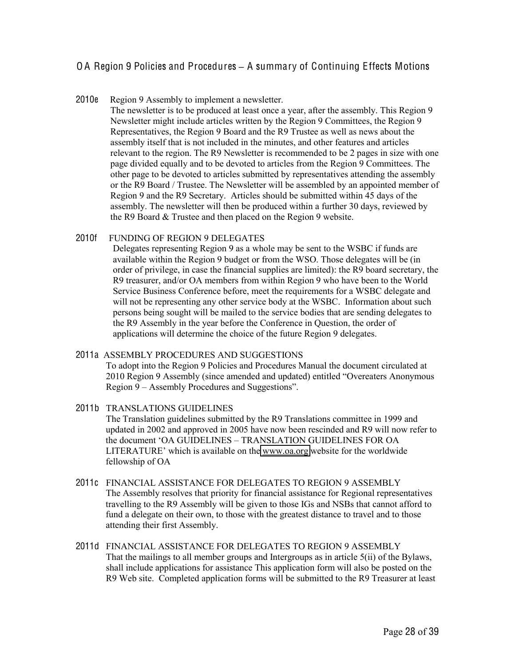#### 2010e Region 9 Assembly to implement a newsletter.

The newsletter is to be produced at least once a year, after the assembly. This Region 9 Newsletter might include articles written by the Region 9 Committees, the Region 9 Representatives, the Region 9 Board and the R9 Trustee as well as news about the assembly itself that is not included in the minutes, and other features and articles relevant to the region. The R9 Newsletter is recommended to be 2 pages in size with one page divided equally and to be devoted to articles from the Region 9 Committees. The other page to be devoted to articles submitted by representatives attending the assembly or the R9 Board / Trustee. The Newsletter will be assembled by an appointed member of Region 9 and the R9 Secretary. Articles should be submitted within 45 days of the assembly. The newsletter will then be produced within a further 30 days, reviewed by the R9 Board & Trustee and then placed on the Region 9 website.

#### 2010f FUNDING OF REGION 9 DELEGATES

Delegates representing Region 9 as a whole may be sent to the WSBC if funds are available within the Region 9 budget or from the WSO. Those delegates will be (in order of privilege, in case the financial supplies are limited): the R9 board secretary, the R9 treasurer, and/or OA members from within Region 9 who have been to the World Service Business Conference before, meet the requirements for a WSBC delegate and will not be representing any other service body at the WSBC. Information about such persons being sought will be mailed to the service bodies that are sending delegates to the R9 Assembly in the year before the Conference in Question, the order of applications will determine the choice of the future Region 9 delegates.

#### 2011a ASSEMBLY PROCEDURES AND SUGGESTIONS

To adopt into the Region 9 Policies and Procedures Manual the document circulated at 2010 Region 9 Assembly (since amended and updated) entitled "Overeaters Anonymous Region 9 – Assembly Procedures and Suggestions".

#### 2011b TRANSLATIONS GUIDELINES The Translation guidelines submitted by the R9 Translations committee in 1999 and updated in 2002 and approved in 2005 have now been rescinded and R9 will now refer to the document 'OA GUIDELINES – TRANSLATION GUIDELINES FOR OA LITERATURE' which is available on the [www.oa.org](http://www.oa.org/) website for the worldwide fellowship of OA

- 2011c FINANCIAL ASSISTANCE FOR DELEGATES TO REGION 9 ASSEMBLY The Assembly resolves that priority for financial assistance for Regional representatives travelling to the R9 Assembly will be given to those IGs and NSBs that cannot afford to fund a delegate on their own, to those with the greatest distance to travel and to those attending their first Assembly.
- 2011d FINANCIAL ASSISTANCE FOR DELEGATES TO REGION 9 ASSEMBLY That the mailings to all member groups and Intergroups as in article 5(ii) of the Bylaws, shall include applications for assistance This application form will also be posted on the R9 Web site. Completed application forms will be submitted to the R9 Treasurer at least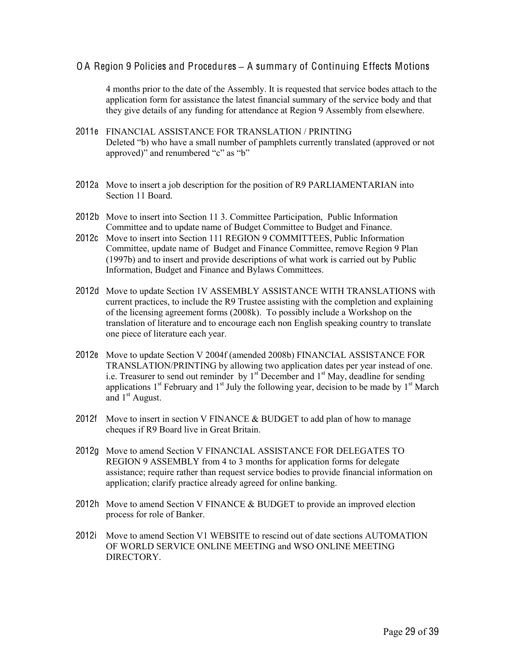4 months prior to the date of the Assembly. It is requested that service bodes attach to the application form for assistance the latest financial summary of the service body and that they give details of any funding for attendance at Region 9 Assembly from elsewhere.

- 2011e FINANCIAL ASSISTANCE FOR TRANSLATION / PRINTING Deleted "b) who have a small number of pamphlets currently translated (approved or not approved)" and renumbered "c" as "b"
- 2012a Move to insert a job description for the position of R9 PARLIAMENTARIAN into Section 11 Board.
- 2012b Move to insert into Section 11 3. Committee Participation, Public Information Committee and to update name of Budget Committee to Budget and Finance.
- 2012c Move to insert into Section 111 REGION 9 COMMITTEES, Public Information Committee, update name of Budget and Finance Committee, remove Region 9 Plan (1997b) and to insert and provide descriptions of what work is carried out by Public Information, Budget and Finance and Bylaws Committees.
- 2012d Move to update Section 1V ASSEMBLY ASSISTANCE WITH TRANSLATIONS with current practices, to include the R9 Trustee assisting with the completion and explaining of the licensing agreement forms (2008k). To possibly include a Workshop on the translation of literature and to encourage each non English speaking country to translate one piece of literature each year.
- 2012e Move to update Section V 2004f (amended 2008b) FINANCIAL ASSISTANCE FOR TRANSLATION/PRINTING by allowing two application dates per year instead of one. i.e. Treasurer to send out reminder by  $1<sup>st</sup>$  December and  $1<sup>st</sup>$  May, deadline for sending applications  $1<sup>st</sup>$  February and  $1<sup>st</sup>$  July the following year, decision to be made by  $1<sup>st</sup>$  March and  $1<sup>st</sup>$  August.
- 2012f Move to insert in section V FINANCE  $& BUDGET$  to add plan of how to manage cheques if R9 Board live in Great Britain.
- 2012g Move to amend Section V FINANCIAL ASSISTANCE FOR DELEGATES TO REGION 9 ASSEMBLY from 4 to 3 months for application forms for delegate assistance; require rather than request service bodies to provide financial information on application; clarify practice already agreed for online banking.
- 2012h Move to amend Section V FINANCE  $\&$  BUDGET to provide an improved election process for role of Banker.
- 2012i Move to amend Section V1 WEBSITE to rescind out of date sections AUTOMATION OF WORLD SERVICE ONLINE MEETING and WSO ONLINE MEETING **DIRECTORY**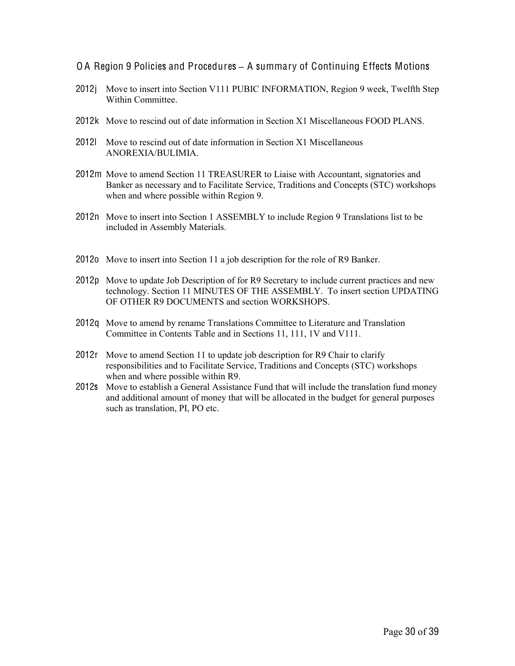- O A Region 9 Policies and Procedures **–** A summary of Continuing Effects Motions
- 2012j Move to insert into Section V111 PUBIC INFORMATION, Region 9 week, Twelfth Step Within Committee
- 2012k Move to rescind out of date information in Section X1 Miscellaneous FOOD PLANS.
- 2012l Move to rescind out of date information in Section X1 Miscellaneous ANOREXIA/BULIMIA.
- 2012m Move to amend Section 11 TREASURER to Liaise with Accountant, signatories and Banker as necessary and to Facilitate Service, Traditions and Concepts (STC) workshops when and where possible within Region 9.
- 2012n Move to insert into Section 1 ASSEMBLY to include Region 9 Translations list to be included in Assembly Materials.
- 2012o Move to insert into Section 11 a job description for the role of R9 Banker.
- 2012p Move to update Job Description of for R9 Secretary to include current practices and new technology. Section 11 MINUTES OF THE ASSEMBLY. To insert section UPDATING OF OTHER R9 DOCUMENTS and section WORKSHOPS.
- 2012q Move to amend by rename Translations Committee to Literature and Translation Committee in Contents Table and in Sections 11, 111, 1V and V111.
- 2012r Move to amend Section 11 to update job description for R9 Chair to clarify responsibilities and to Facilitate Service, Traditions and Concepts (STC) workshops when and where possible within R9.
- 2012s Move to establish a General Assistance Fund that will include the translation fund money and additional amount of money that will be allocated in the budget for general purposes such as translation, PI, PO etc.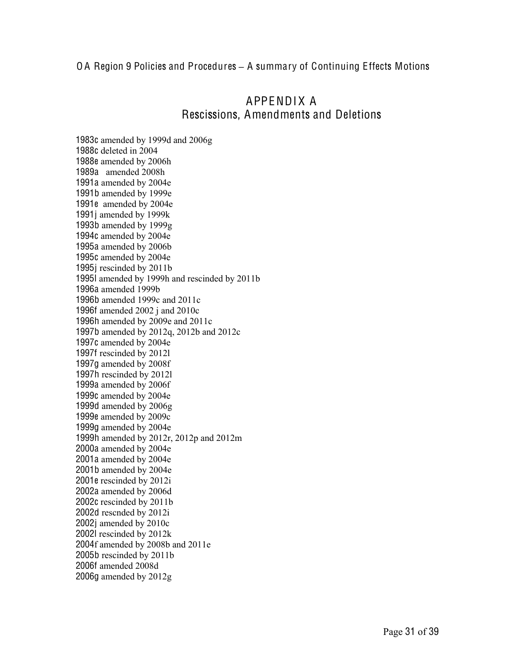# APPENDIX A Rescissions, Amendments and Deletions

1983c amended by 1999d and 2006g 1988c deleted in 2004 1988e amended by 2006h 1989a amended 2008h 1991a amended by 2004e 1991b amended by 1999e 1991e amended by 2004e 1991j amended by 1999k 1993b amended by 1999g 1994c amended by 2004e 1995a amended by 2006b 1995c amended by 2004e 1995j rescinded by 2011b 1995l amended by 1999h and rescinded by 2011b 1996a amended 1999b 1996b amended 1999c and 2011c 1996f amended 2002 j and 2010c 1996h amended by 2009e and 2011c 1997b amended by 2012q, 2012b and 2012c 1997c amended by 2004e 1997f rescinded by 2012l 1997g amended by 2008f 1997h rescinded by 2012l 1999a amended by 2006f 1999c amended by 2004e 1999d amended by 2006g 1999e amended by 2009c 1999g amended by 2004e 1999h amended by 2012r, 2012p and 2012m 2000a amended by 2004e 2001a amended by 2004e 2001b amended by 2004e 2001e rescinded by 2012i 2002a amended by 2006d 2002c rescinded by 2011b 2002d rescnded by 2012i 2002j amended by 2010c 2002l rescinded by 2012k 2004f amended by 2008b and 2011e 2005b rescinded by 2011b 2006f amended 2008d 2006g amended by 2012g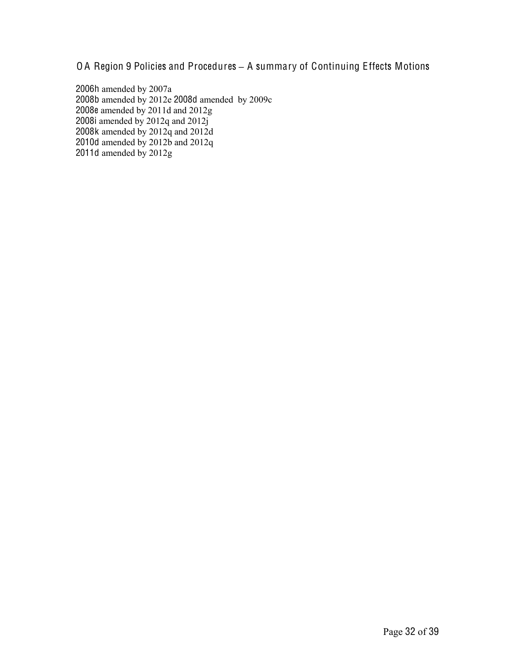2006h amended by 2007a 2008b amended by 2012e 2008d amended by 2009c 2008e amended by 2011d and 2012g 2008i amended by 2012q and 2012j 2008k amended by 2012q and 2012d 2010d amended by 2012b and 2012q 2011d amended by 2012g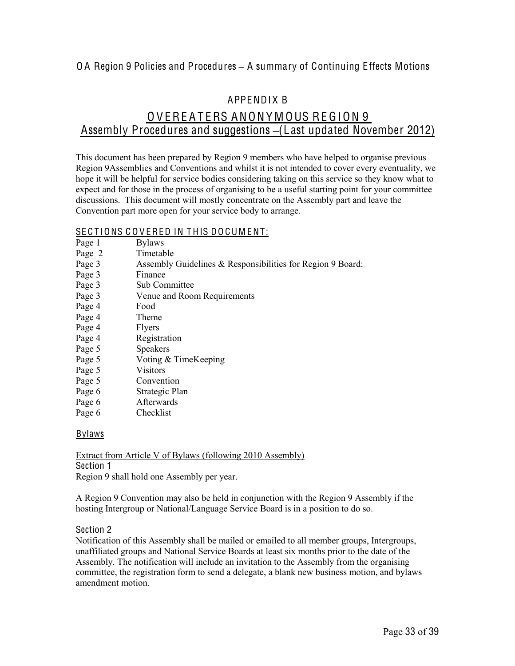### APPENDIX B

# OVEREATERS ANONYMOUS REGION 9 Assembly Procedures and suggestions **–**(Last updated November 2012)

This document has been prepared by Region 9 members who have helped to organise previous Region 9Assemblies and Conventions and whilst it is not intended to cover every eventuality, we hope it will be helpful for service bodies considering taking on this service so they know what to expect and for those in the process of organising to be a useful starting point for your committee discussions. This document will mostly concentrate on the Assembly part and leave the Convention part more open for your service body to arrange.

### SE C T IONS C O V ERED IN T HIS DO CUM ENT:

|        | SECTIONS COVERED IN THIS DOCUMENT:                         |
|--------|------------------------------------------------------------|
| Page 1 | <b>Bylaws</b>                                              |
| Page 2 | Timetable                                                  |
| Page 3 | Assembly Guidelines & Responsibilities for Region 9 Board: |
| Page 3 | Finance                                                    |
| Page 3 | Sub Committee                                              |
| Page 3 | Venue and Room Requirements                                |
| Page 4 | Food                                                       |
| Page 4 | Theme                                                      |
| Page 4 | <b>Flyers</b>                                              |
| Page 4 | Registration                                               |
| Page 5 | <b>Speakers</b>                                            |
| Page 5 | Voting & TimeKeeping                                       |
| Page 5 | Visitors                                                   |
| Page 5 | Convention                                                 |
| Page 6 | Strategic Plan                                             |
| Page 6 | Afterwards                                                 |

Page 6 Checklist

#### Bylaws

Extract from Article V of Bylaws (following 2010 Assembly) Section 1 Region 9 shall hold one Assembly per year.

A Region 9 Convention may also be held in conjunction with the Region 9 Assembly if the hosting Intergroup or National/Language Service Board is in a position to do so.

#### Section 2

Notification of this Assembly shall be mailed or emailed to all member groups, Intergroups, unaffiliated groups and National Service Boards at least six months prior to the date of the Assembly. The notification will include an invitation to the Assembly from the organising committee, the registration form to send a delegate, a blank new business motion, and bylaws amendment motion.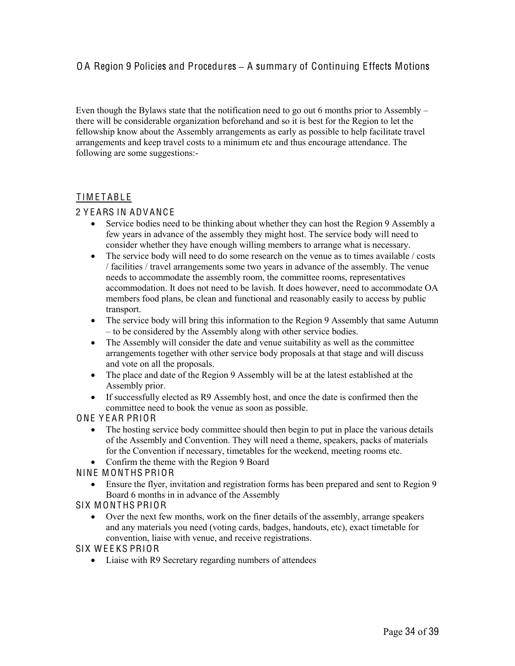Even though the Bylaws state that the notification need to go out 6 months prior to Assembly – there will be considerable organization beforehand and so it is best for the Region to let the fellowship know about the Assembly arrangements as early as possible to help facilitate travel arrangements and keep travel costs to a minimum etc and thus encourage attendance. The following are some suggestions:-

#### TIMETABLE

#### 2 Y E ARS IN ADV ANC E

- Service bodies need to be thinking about whether they can host the Region 9 Assembly a few years in advance of the assembly they might host. The service body will need to consider whether they have enough willing members to arrange what is necessary.
- The service body will need to do some research on the venue as to times available / costs / facilities / travel arrangements some two years in advance of the assembly. The venue needs to accommodate the assembly room, the committee rooms, representatives accommodation. It does not need to be lavish. It does however, need to accommodate OA members food plans, be clean and functional and reasonably easily to access by public transport.
- The service body will bring this information to the Region 9 Assembly that same Autumn – to be considered by the Assembly along with other service bodies.
- The Assembly will consider the date and venue suitability as well as the committee arrangements together with other service body proposals at that stage and will discuss and vote on all the proposals.
- The place and date of the Region 9 Assembly will be at the latest established at the Assembly prior.
- If successfully elected as R9 Assembly host, and once the date is confirmed then the committee need to book the venue as soon as possible.

#### ONE Y E AR PRIOR

- The hosting service body committee should then begin to put in place the various details of the Assembly and Convention. They will need a theme, speakers, packs of materials for the Convention if necessary, timetables for the weekend, meeting rooms etc.
- Confirm the theme with the Region 9 Board

#### NINE MONTHS PRIOR

 Ensure the flyer, invitation and registration forms has been prepared and sent to Region 9 Board 6 months in in advance of the Assembly

#### SIX MONTHS PRIOR

 Over the next few months, work on the finer details of the assembly, arrange speakers and any materials you need (voting cards, badges, handouts, etc), exact timetable for convention, liaise with venue, and receive registrations.

#### SIX WEEKS PRIOR

• Liaise with R9 Secretary regarding numbers of attendees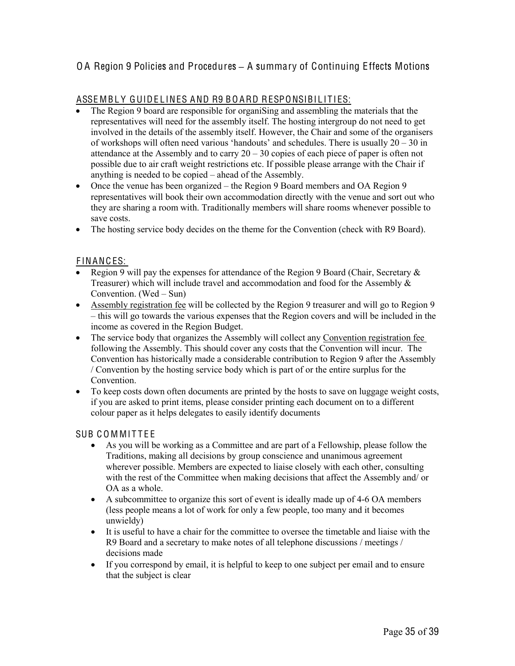#### ASSEMBLY GUIDELINES AND R9 BOARD RESPONSIBILITIES:

- The Region 9 board are responsible for organiSing and assembling the materials that the representatives will need for the assembly itself. The hosting intergroup do not need to get involved in the details of the assembly itself. However, the Chair and some of the organisers of workshops will often need various 'handouts' and schedules. There is usually 20 – 30 in attendance at the Assembly and to carry  $20 - 30$  copies of each piece of paper is often not possible due to air craft weight restrictions etc. If possible please arrange with the Chair if anything is needed to be copied – ahead of the Assembly.
- Once the venue has been organized the Region 9 Board members and OA Region 9 representatives will book their own accommodation directly with the venue and sort out who they are sharing a room with. Traditionally members will share rooms whenever possible to save costs.
- The hosting service body decides on the theme for the Convention (check with R9 Board).

#### F INANC ES:

- Region 9 will pay the expenses for attendance of the Region 9 Board (Chair, Secretary & Treasurer) which will include travel and accommodation and food for the Assembly & Convention. (Wed – Sun)
- Assembly registration fee will be collected by the Region 9 treasurer and will go to Region 9 – this will go towards the various expenses that the Region covers and will be included in the income as covered in the Region Budget.
- The service body that organizes the Assembly will collect any Convention registration fee following the Assembly. This should cover any costs that the Convention will incur. The Convention has historically made a considerable contribution to Region 9 after the Assembly / Convention by the hosting service body which is part of or the entire surplus for the Convention.
- To keep costs down often documents are printed by the hosts to save on luggage weight costs, if you are asked to print items, please consider printing each document on to a different colour paper as it helps delegates to easily identify documents

#### SUB COMMITTEE

- As you will be working as a Committee and are part of a Fellowship, please follow the Traditions, making all decisions by group conscience and unanimous agreement wherever possible. Members are expected to liaise closely with each other, consulting with the rest of the Committee when making decisions that affect the Assembly and/ or OA as a whole.
- A subcommittee to organize this sort of event is ideally made up of 4-6 OA members (less people means a lot of work for only a few people, too many and it becomes unwieldy)
- It is useful to have a chair for the committee to oversee the timetable and liaise with the R9 Board and a secretary to make notes of all telephone discussions / meetings / decisions made
- If you correspond by email, it is helpful to keep to one subject per email and to ensure that the subject is clear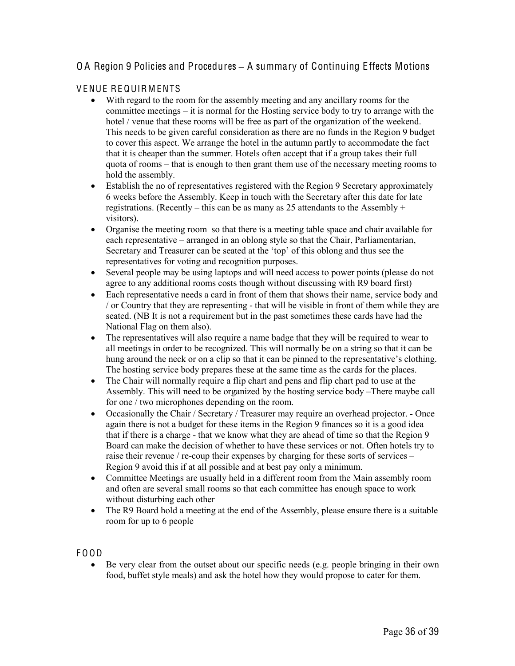### V ENUE RE QUIRM ENTS

- With regard to the room for the assembly meeting and any ancillary rooms for the committee meetings – it is normal for the Hosting service body to try to arrange with the hotel / venue that these rooms will be free as part of the organization of the weekend. This needs to be given careful consideration as there are no funds in the Region 9 budget to cover this aspect. We arrange the hotel in the autumn partly to accommodate the fact that it is cheaper than the summer. Hotels often accept that if a group takes their full quota of rooms – that is enough to then grant them use of the necessary meeting rooms to hold the assembly.
- Establish the no of representatives registered with the Region 9 Secretary approximately 6 weeks before the Assembly. Keep in touch with the Secretary after this date for late registrations. (Recently – this can be as many as 25 attendants to the Assembly + visitors).
- Organise the meeting room so that there is a meeting table space and chair available for each representative – arranged in an oblong style so that the Chair, Parliamentarian, Secretary and Treasurer can be seated at the 'top' of this oblong and thus see the representatives for voting and recognition purposes.
- Several people may be using laptops and will need access to power points (please do not agree to any additional rooms costs though without discussing with R9 board first)
- Each representative needs a card in front of them that shows their name, service body and / or Country that they are representing - that will be visible in front of them while they are seated. (NB It is not a requirement but in the past sometimes these cards have had the National Flag on them also).
- The representatives will also require a name badge that they will be required to wear to all meetings in order to be recognized. This will normally be on a string so that it can be hung around the neck or on a clip so that it can be pinned to the representative's clothing. The hosting service body prepares these at the same time as the cards for the places.
- The Chair will normally require a flip chart and pens and flip chart pad to use at the Assembly. This will need to be organized by the hosting service body –There maybe call for one / two microphones depending on the room.
- Occasionally the Chair / Secretary / Treasurer may require an overhead projector. Once again there is not a budget for these items in the Region 9 finances so it is a good idea that if there is a charge - that we know what they are ahead of time so that the Region 9 Board can make the decision of whether to have these services or not. Often hotels try to raise their revenue / re-coup their expenses by charging for these sorts of services – Region 9 avoid this if at all possible and at best pay only a minimum.
- Committee Meetings are usually held in a different room from the Main assembly room and often are several small rooms so that each committee has enough space to work without disturbing each other
- The R9 Board hold a meeting at the end of the Assembly, please ensure there is a suitable room for up to 6 people

#### F O OD

 Be very clear from the outset about our specific needs (e.g. people bringing in their own food, buffet style meals) and ask the hotel how they would propose to cater for them.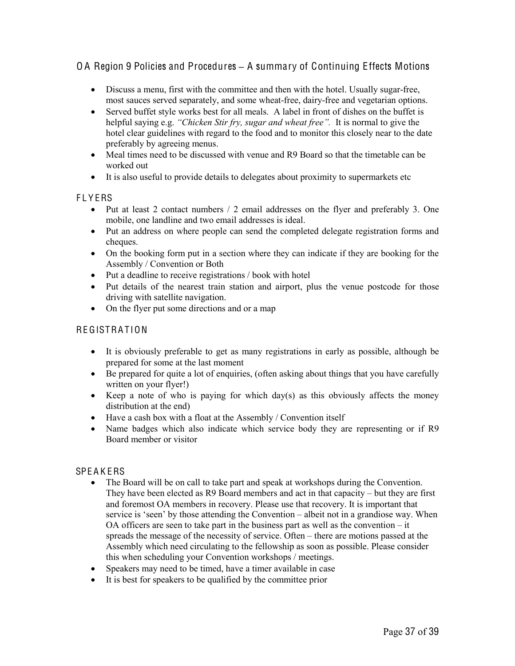- Discuss a menu, first with the committee and then with the hotel. Usually sugar-free, most sauces served separately, and some wheat-free, dairy-free and vegetarian options.
- Served buffet style works best for all meals. A label in front of dishes on the buffet is helpful saying e.g. *"Chicken Stir fry, sugar and wheat free"*. It is normal to give the hotel clear guidelines with regard to the food and to monitor this closely near to the date preferably by agreeing menus.
- Meal times need to be discussed with venue and R9 Board so that the timetable can be worked out
- It is also useful to provide details to delegates about proximity to supermarkets etc

#### **FLYERS**

- Put at least 2 contact numbers / 2 email addresses on the flyer and preferably 3. One mobile, one landline and two email addresses is ideal.
- Put an address on where people can send the completed delegate registration forms and cheques.
- On the booking form put in a section where they can indicate if they are booking for the Assembly / Convention or Both
- Put a deadline to receive registrations / book with hotel
- Put details of the nearest train station and airport, plus the venue postcode for those driving with satellite navigation.
- On the flyer put some directions and or a map

#### **REGISTRATION**

- It is obviously preferable to get as many registrations in early as possible, although be prepared for some at the last moment
- Be prepared for quite a lot of enquiries, (often asking about things that you have carefully written on your flyer!)
- Exercise Reep a note of who is paying for which day(s) as this obviously affects the money distribution at the end)
- Have a cash box with a float at the Assembly / Convention itself
- Name badges which also indicate which service body they are representing or if R9 Board member or visitor

#### **SPEAKERS**

- The Board will be on call to take part and speak at workshops during the Convention. They have been elected as R9 Board members and act in that capacity – but they are first and foremost OA members in recovery. Please use that recovery. It is important that service is 'seen' by those attending the Convention – albeit not in a grandiose way. When OA officers are seen to take part in the business part as well as the convention – it spreads the message of the necessity of service. Often – there are motions passed at the Assembly which need circulating to the fellowship as soon as possible. Please consider this when scheduling your Convention workshops / meetings.
- Speakers may need to be timed, have a timer available in case
- It is best for speakers to be qualified by the committee prior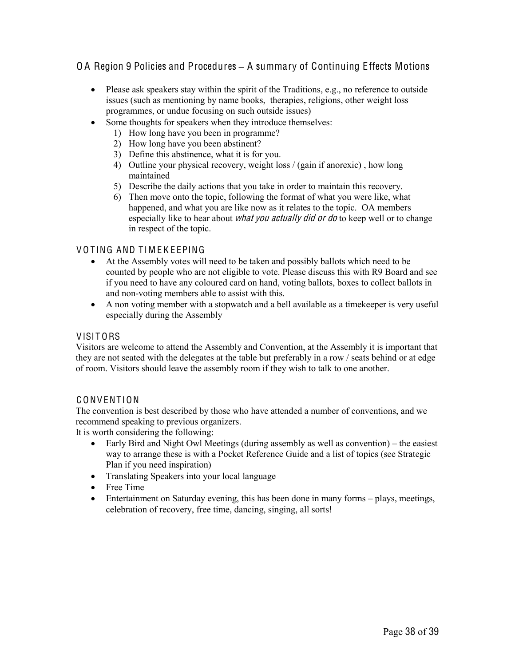- Please ask speakers stay within the spirit of the Traditions, e.g., no reference to outside issues (such as mentioning by name books, therapies, religions, other weight loss programmes, or undue focusing on such outside issues)
- Some thoughts for speakers when they introduce themselves:
	- 1) How long have you been in programme?
	- 2) How long have you been abstinent?
	- 3) Define this abstinence, what it is for you.
	- 4) Outline your physical recovery, weight loss / (gain if anorexic) , how long maintained
	- 5) Describe the daily actions that you take in order to maintain this recovery.
	- 6) Then move onto the topic, following the format of what you were like, what happened, and what you are like now as it relates to the topic. OA members especially like to hear about *what you actually did or do* to keep well or to change in respect of the topic.

#### VOTING AND TIMEKEEPING

- At the Assembly votes will need to be taken and possibly ballots which need to be counted by people who are not eligible to vote. Please discuss this with R9 Board and see if you need to have any coloured card on hand, voting ballots, boxes to collect ballots in and non-voting members able to assist with this.
- A non voting member with a stopwatch and a bell available as a timekeeper is very useful especially during the Assembly

#### VISITORS

Visitors are welcome to attend the Assembly and Convention, at the Assembly it is important that they are not seated with the delegates at the table but preferably in a row / seats behind or at edge of room. Visitors should leave the assembly room if they wish to talk to one another.

#### C ONV ENT ION

The convention is best described by those who have attended a number of conventions, and we recommend speaking to previous organizers.

It is worth considering the following:

- Early Bird and Night Owl Meetings (during assembly as well as convention) the easiest way to arrange these is with a Pocket Reference Guide and a list of topics (see Strategic Plan if you need inspiration)
- Translating Speakers into your local language
- Free Time
- Entertainment on Saturday evening, this has been done in many forms plays, meetings, celebration of recovery, free time, dancing, singing, all sorts!